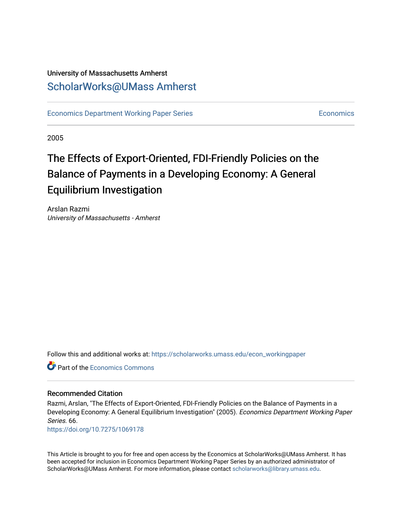### University of Massachusetts Amherst [ScholarWorks@UMass Amherst](https://scholarworks.umass.edu/)

[Economics Department Working Paper Series](https://scholarworks.umass.edu/econ_workingpaper) **Economics** [Economics](https://scholarworks.umass.edu/economics) Economics

2005

### The Effects of Export-Oriented, FDI-Friendly Policies on the Balance of Payments in a Developing Economy: A General Equilibrium Investigation

Arslan Razmi University of Massachusetts - Amherst

Follow this and additional works at: [https://scholarworks.umass.edu/econ\\_workingpaper](https://scholarworks.umass.edu/econ_workingpaper?utm_source=scholarworks.umass.edu%2Fecon_workingpaper%2F66&utm_medium=PDF&utm_campaign=PDFCoverPages) 

**C** Part of the [Economics Commons](http://network.bepress.com/hgg/discipline/340?utm_source=scholarworks.umass.edu%2Fecon_workingpaper%2F66&utm_medium=PDF&utm_campaign=PDFCoverPages)

#### Recommended Citation

Razmi, Arslan, "The Effects of Export-Oriented, FDI-Friendly Policies on the Balance of Payments in a Developing Economy: A General Equilibrium Investigation" (2005). Economics Department Working Paper Series. 66.

<https://doi.org/10.7275/1069178>

This Article is brought to you for free and open access by the Economics at ScholarWorks@UMass Amherst. It has been accepted for inclusion in Economics Department Working Paper Series by an authorized administrator of ScholarWorks@UMass Amherst. For more information, please contact [scholarworks@library.umass.edu.](mailto:scholarworks@library.umass.edu)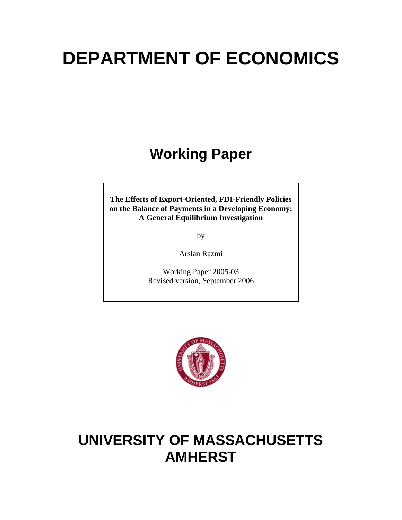# **DEPARTMENT OF ECONOMICS**

## **Working Paper**

**The Effects of Export-Oriented, FDI-Friendly Policies on the Balance of Payments in a Developing Economy: A General Equilibrium Investigation**

by

Arslan Razmi

Working Paper 2005-03 Revised version, September 2006



## **UNIVERSITY OF MASSACHUSETTS AMHERST**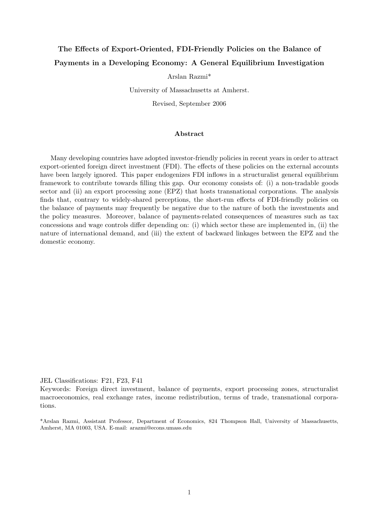### The Effects of Export-Oriented, FDI-Friendly Policies on the Balance of Payments in a Developing Economy: A General Equilibrium Investigation

Arslan Razmi\*

University of Massachusetts at Amherst.

Revised, September 2006

#### Abstract

Many developing countries have adopted investor-friendly policies in recent years in order to attract export-oriented foreign direct investment (FDI). The effects of these policies on the external accounts have been largely ignored. This paper endogenizes FDI inflows in a structuralist general equilibrium framework to contribute towards filling this gap. Our economy consists of: (i) a non-tradable goods sector and (ii) an export processing zone (EPZ) that hosts transnational corporations. The analysis finds that, contrary to widely-shared perceptions, the short-run effects of FDI-friendly policies on the balance of payments may frequently be negative due to the nature of both the investments and the policy measures. Moreover, balance of payments-related consequences of measures such as tax concessions and wage controls differ depending on: (i) which sector these are implemented in, (ii) the nature of international demand, and (iii) the extent of backward linkages between the EPZ and the domestic economy.

JEL Classifications: F21, F23, F41

Keywords: Foreign direct investment, balance of payments, export processing zones, structuralist macroeconomics, real exchange rates, income redistribution, terms of trade, transnational corporations.

\*Arslan Razmi, Assistant Professor, Department of Economics, 824 Thompson Hall, University of Massachusetts, Amherst, MA 01003, USA. E-mail: arazmi@econs.umass.edu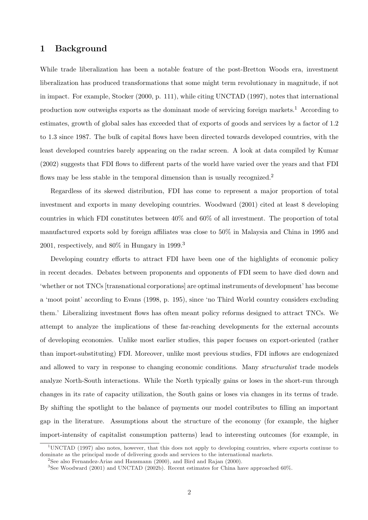#### 1 Background

While trade liberalization has been a notable feature of the post-Bretton Woods era, investment liberalization has produced transformations that some might term revolutionary in magnitude, if not in impact. For example, Stocker (2000, p. 111), while citing UNCTAD (1997), notes that international production now outweighs exports as the dominant mode of servicing foreign markets.<sup>1</sup> According to estimates, growth of global sales has exceeded that of exports of goods and services by a factor of 1.2 to 1.3 since 1987. The bulk of capital flows have been directed towards developed countries, with the least developed countries barely appearing on the radar screen. A look at data compiled by Kumar (2002) suggests that FDI flows to different parts of the world have varied over the years and that FDI flows may be less stable in the temporal dimension than is usually recognized.<sup>2</sup>

Regardless of its skewed distribution, FDI has come to represent a major proportion of total investment and exports in many developing countries. Woodward (2001) cited at least 8 developing countries in which FDI constitutes between 40% and 60% of all investment. The proportion of total manufactured exports sold by foreign affiliates was close to 50% in Malaysia and China in 1995 and 2001, respectively, and  $80\%$  in Hungary in 1999.<sup>3</sup>

Developing country efforts to attract FDI have been one of the highlights of economic policy in recent decades. Debates between proponents and opponents of FDI seem to have died down and 'whether or not TNCs [transnational corporations] are optimal instruments of development' has become a 'moot point' according to Evans (1998, p. 195), since 'no Third World country considers excluding them.' Liberalizing investment flows has often meant policy reforms designed to attract TNCs. We attempt to analyze the implications of these far-reaching developments for the external accounts of developing economies. Unlike most earlier studies, this paper focuses on export-oriented (rather than import-substituting) FDI. Moreover, unlike most previous studies, FDI inflows are endogenized and allowed to vary in response to changing economic conditions. Many *structuralist* trade models analyze North-South interactions. While the North typically gains or loses in the short-run through changes in its rate of capacity utilization, the South gains or loses via changes in its terms of trade. By shifting the spotlight to the balance of payments our model contributes to filling an important gap in the literature. Assumptions about the structure of the economy (for example, the higher import-intensity of capitalist consumption patterns) lead to interesting outcomes (for example, in

<sup>1</sup>UNCTAD (1997) also notes, however, that this does not apply to developing countries, where exports continue to dominate as the principal mode of delivering goods and services to the international markets.

<sup>&</sup>lt;sup>2</sup>See also Fernandez-Arias and Hausmann (2000), and Bird and Rajan (2000).

<sup>&</sup>lt;sup>3</sup>See Woodward (2001) and UNCTAD (2002b). Recent estimates for China have approached 60%.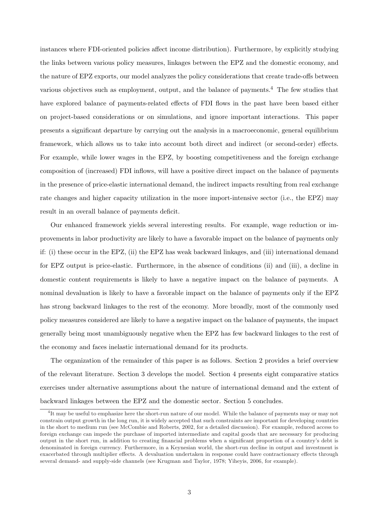instances where FDI-oriented policies affect income distribution). Furthermore, by explicitly studying the links between various policy measures, linkages between the EPZ and the domestic economy, and the nature of EPZ exports, our model analyzes the policy considerations that create trade-offs between various objectives such as employment, output, and the balance of payments.<sup>4</sup> The few studies that have explored balance of payments-related effects of FDI flows in the past have been based either on project-based considerations or on simulations, and ignore important interactions. This paper presents a significant departure by carrying out the analysis in a macroeconomic, general equilibrium framework, which allows us to take into account both direct and indirect (or second-order) effects. For example, while lower wages in the EPZ, by boosting competitiveness and the foreign exchange composition of (increased) FDI inflows, will have a positive direct impact on the balance of payments in the presence of price-elastic international demand, the indirect impacts resulting from real exchange rate changes and higher capacity utilization in the more import-intensive sector (i.e., the EPZ) may result in an overall balance of payments deficit.

Our enhanced framework yields several interesting results. For example, wage reduction or improvements in labor productivity are likely to have a favorable impact on the balance of payments only if: (i) these occur in the EPZ, (ii) the EPZ has weak backward linkages, and (iii) international demand for EPZ output is price-elastic. Furthermore, in the absence of conditions (ii) and (iii), a decline in domestic content requirements is likely to have a negative impact on the balance of payments. A nominal devaluation is likely to have a favorable impact on the balance of payments only if the EPZ has strong backward linkages to the rest of the economy. More broadly, most of the commonly used policy measures considered are likely to have a negative impact on the balance of payments, the impact generally being most unambiguously negative when the EPZ has few backward linkages to the rest of the economy and faces inelastic international demand for its products.

The organization of the remainder of this paper is as follows. Section 2 provides a brief overview of the relevant literature. Section 3 develops the model. Section 4 presents eight comparative statics exercises under alternative assumptions about the nature of international demand and the extent of backward linkages between the EPZ and the domestic sector. Section 5 concludes.

<sup>&</sup>lt;sup>4</sup>It may be useful to emphasize here the short-run nature of our model. While the balance of payments may or may not constrain output growth in the long run, it is widely accepted that such constraints are important for developing countries in the short to medium run (see McCombie and Roberts, 2002, for a detailed discussion). For example, reduced access to foreign exchange can impede the purchase of imported intermediate and capital goods that are necessary for producing output in the short run, in addition to creating financial problems when a significant proportion of a country's debt is denominated in foreign currency. Furthermore, in a Keynesian world, the short-run decline in output and investment is exacerbated through multiplier effects. A devaluation undertaken in response could have contractionary effects through several demand- and supply-side channels (see Krugman and Taylor, 1978; Yiheyis, 2006, for example).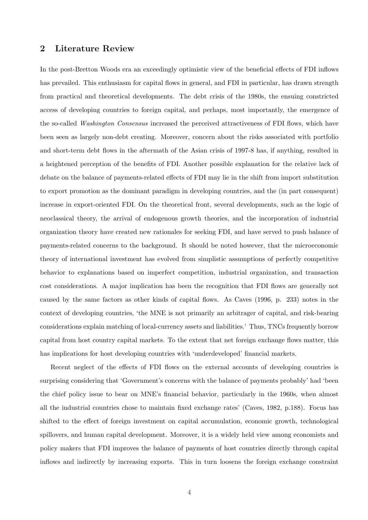#### 2 Literature Review

In the post-Bretton Woods era an exceedingly optimistic view of the beneficial effects of FDI inflows has prevailed. This enthusiasm for capital flows in general, and FDI in particular, has drawn strength from practical and theoretical developments. The debt crisis of the 1980s, the ensuing constricted access of developing countries to foreign capital, and perhaps, most importantly, the emergence of the so-called Washington Consensus increased the perceived attractiveness of FDI flows, which have been seen as largely non-debt creating. Moreover, concern about the risks associated with portfolio and short-term debt flows in the aftermath of the Asian crisis of 1997-8 has, if anything, resulted in a heightened perception of the benefits of FDI. Another possible explanation for the relative lack of debate on the balance of payments-related effects of FDI may lie in the shift from import substitution to export promotion as the dominant paradigm in developing countries, and the (in part consequent) increase in export-oriented FDI. On the theoretical front, several developments, such as the logic of neoclassical theory, the arrival of endogenous growth theories, and the incorporation of industrial organization theory have created new rationales for seeking FDI, and have served to push balance of payments-related concerns to the background. It should be noted however, that the microeconomic theory of international investment has evolved from simplistic assumptions of perfectly competitive behavior to explanations based on imperfect competition, industrial organization, and transaction cost considerations. A major implication has been the recognition that FDI flows are generally not caused by the same factors as other kinds of capital flows. As Caves (1996, p. 233) notes in the context of developing countries, 'the MNE is not primarily an arbitrager of capital, and risk-bearing considerations explain matching of local-currency assets and liabilities.' Thus, TNCs frequently borrow capital from host country capital markets. To the extent that net foreign exchange flows matter, this has implications for host developing countries with 'underdeveloped' financial markets.

Recent neglect of the effects of FDI flows on the external accounts of developing countries is surprising considering that 'Government's concerns with the balance of payments probably' had 'been the chief policy issue to bear on MNE's financial behavior, particularly in the 1960s, when almost all the industrial countries chose to maintain fixed exchange rates' (Caves, 1982, p.188). Focus has shifted to the effect of foreign investment on capital accumulation, economic growth, technological spillovers, and human capital development. Moreover, it is a widely held view among economists and policy makers that FDI improves the balance of payments of host countries directly through capital inflows and indirectly by increasing exports. This in turn loosens the foreign exchange constraint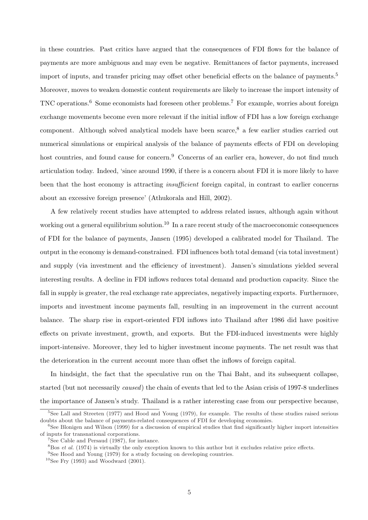in these countries. Past critics have argued that the consequences of FDI flows for the balance of payments are more ambiguous and may even be negative. Remittances of factor payments, increased import of inputs, and transfer pricing may offset other beneficial effects on the balance of payments.<sup>5</sup> Moreover, moves to weaken domestic content requirements are likely to increase the import intensity of TNC operations.<sup>6</sup> Some economists had foreseen other problems.<sup>7</sup> For example, worries about foreign exchange movements become even more relevant if the initial inflow of FDI has a low foreign exchange component. Although solved analytical models have been scarce,<sup>8</sup> a few earlier studies carried out numerical simulations or empirical analysis of the balance of payments effects of FDI on developing host countries, and found cause for concern.<sup>9</sup> Concerns of an earlier era, however, do not find much articulation today. Indeed, 'since around 1990, if there is a concern about FDI it is more likely to have been that the host economy is attracting *insufficient* foreign capital, in contrast to earlier concerns about an excessive foreign presence' (Athukorala and Hill, 2002).

A few relatively recent studies have attempted to address related issues, although again without working out a general equilibrium solution.<sup>10</sup> In a rare recent study of the macroeconomic consequences of FDI for the balance of payments, Jansen (1995) developed a calibrated model for Thailand. The output in the economy is demand-constrained. FDI influences both total demand (via total investment) and supply (via investment and the efficiency of investment). Jansen's simulations yielded several interesting results. A decline in FDI inflows reduces total demand and production capacity. Since the fall in supply is greater, the real exchange rate appreciates, negatively impacting exports. Furthermore, imports and investment income payments fall, resulting in an improvement in the current account balance. The sharp rise in export-oriented FDI inflows into Thailand after 1986 did have positive effects on private investment, growth, and exports. But the FDI-induced investments were highly import-intensive. Moreover, they led to higher investment income payments. The net result was that the deterioration in the current account more than offset the inflows of foreign capital.

In hindsight, the fact that the speculative run on the Thai Baht, and its subsequent collapse, started (but not necessarily caused) the chain of events that led to the Asian crisis of 1997-8 underlines the importance of Jansen's study. Thailand is a rather interesting case from our perspective because,

 $5$ See Lall and Streeten (1977) and Hood and Young (1979), for example. The results of these studies raised serious doubts about the balance of payments-related consequences of FDI for developing economies.

 $6$ See Blonigen and Wilson (1999) for a discussion of empirical studies that find significantly higher import intensities of inputs for transnational corporations.

<sup>7</sup>See Cable and Persaud (1987), for instance.

 $8B$ os *et al.* (1974) is virtually the only exception known to this author but it excludes relative price effects.

<sup>&</sup>lt;sup>9</sup>See Hood and Young (1979) for a study focusing on developing countries.

 $10$ See Fry (1993) and Woodward (2001).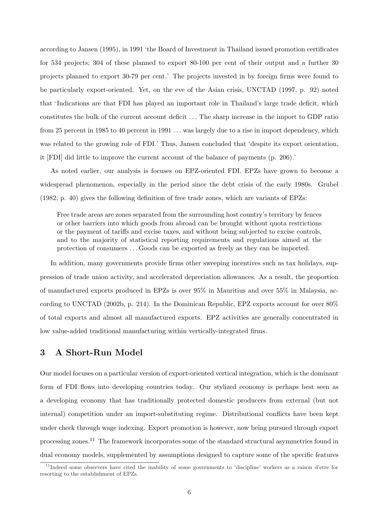according to Jansen (1995), in 1991 'the Board of Investment in Thailand issued promotion certificates for 534 projects; 304 of these planned to export 80-100 per cent of their output and a further 30 projects planned to export 30-79 per cent.' The projects invested in by foreign firms were found to be particularly export-oriented. Yet, on the eve of the Asian crisis, UNCTAD (1997, p. 92) noted that 'Indications are that FDI has played an important role in Thailand's large trade deficit, which constitutes the bulk of the current account deficit . . . The sharp increase in the import to GDP ratio from 25 percent in 1985 to 40 percent in 1991 ... was largely due to a rise in import dependency, which was related to the growing role of FDI.' Thus, Jansen concluded that 'despite its export orientation, it [FDI] did little to improve the current account of the balance of payments (p. 206).'

As noted earlier, our analysis is focuses on EPZ-oriented FDI. EPZs have grown to become a widespread phenomenon, especially in the period since the debt crisis of the early 1980s. Grubel (1982, p. 40) gives the following definition of free trade zones, which are variants of EPZs:

Free trade areas are zones separated from the surrounding host country's territory by fences or other barriers into which goods from abroad can be brought without quota restrictions or the payment of tariffs and excise taxes, and without being subjected to excise controls, and to the majority of statistical reporting requirements and regulations aimed at the protection of consumers . . . Goods can be exported as freely as they can be imported.

In addition, many governments provide firms other sweeping incentives such as tax holidays, suppression of trade union activity, and accelerated depreciation allowances. As a result, the proportion of manufactured exports produced in EPZs is over 95% in Mauritius and over 55% in Malaysia, according to UNCTAD (2002b, p. 214). In the Dominican Republic, EPZ exports account for over 80% of total exports and almost all manufactured exports. EPZ activities are generally concentrated in low value-added traditional manufacturing within vertically-integrated firms.

#### 3 A Short-Run Model

Our model focuses on a particular version of export-oriented vertical integration, which is the dominant form of FDI flows into developing countries today. Our stylized economy is perhaps best seen as a developing economy that has traditionally protected domestic producers from external (but not internal) competition under an import-substituting regime. Distributional conflicts have been kept under check through wage indexing. Export promotion is however, now being pursued through export processing zones.<sup>11</sup> The framework incorporates some of the standard structural asymmetries found in dual economy models, supplemented by assumptions designed to capture some of the specific features

<sup>11</sup>Indeed some observers have cited the inability of some governments to 'discipline' workers as a raison d'etre for resorting to the establishment of EPZs.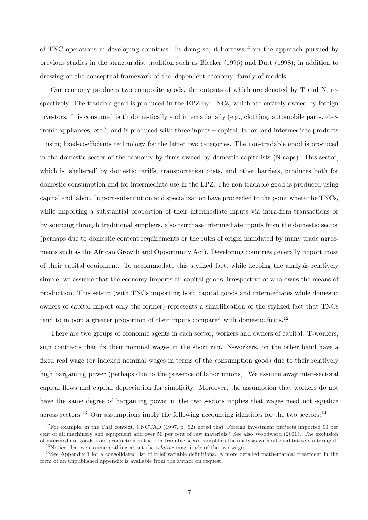of TNC operations in developing countries. In doing so, it borrows from the approach pursued by previous studies in the structuralist tradition such as Blecker (1996) and Dutt (1998), in addition to drawing on the conceptual framework of the 'dependent economy' family of models.

Our economy produces two composite goods, the outputs of which are denoted by T and N, respectively. The tradable good is produced in the EPZ by TNCs, which are entirely owned by foreign investors. It is consumed both domestically and internationally (e.g., clothing, automobile parts, electronic appliances, etc.), and is produced with three inputs – capital, labor, and intermediate products – using fixed-coefficients technology for the latter two categories. The non-tradable good is produced in the domestic sector of the economy by firms owned by domestic capitalists (N-caps). This sector, which is 'sheltered' by domestic tariffs, transportation costs, and other barriers, produces both for domestic consumption and for intermediate use in the EPZ. The non-tradable good is produced using capital and labor. Import-substitution and specialization have proceeded to the point where the TNCs, while importing a substantial proportion of their intermediate inputs via intra-firm transactions or by sourcing through traditional suppliers, also purchase intermediate inputs from the domestic sector (perhaps due to domestic content requirements or the rules of origin mandated by many trade agreements such as the African Growth and Opportunity Act). Developing countries generally import most of their capital equipment. To accommodate this stylized fact, while keeping the analysis relatively simple, we assume that the economy imports all capital goods, irrespective of who owns the means of production. This set-up (with TNCs importing both capital goods and intermediates while domestic owners of capital import only the former) represents a simplification of the stylized fact that TNCs tend to import a greater proportion of their inputs compared with domestic firms.<sup>12</sup>

There are two groups of economic agents in each sector, workers and owners of capital. T-workers, sign contracts that fix their nominal wages in the short run. N-workers, on the other hand have a fixed real wage (or indexed nominal wages in terms of the consumption good) due to their relatively high bargaining power (perhaps due to the presence of labor unions). We assume away inter-sectoral capital flows and capital depreciation for simplicity. Moreover, the assumption that workers do not have the same degree of bargaining power in the two sectors implies that wages need not equalize across sectors.<sup>13</sup> Our assumptions imply the following accounting identities for the two sectors:<sup>14</sup>

<sup>&</sup>lt;sup>12</sup>For example, in the Thai context, UNCTAD (1997, p. 92) noted that 'Foreign investment projects imported 90 per cent of all machinery and equipment and over 50 per cent of raw materials.' See also Woodward (2001). The exclusion of intermediate goods from production in the non-tradable sector simplifies the analysis without qualitatively altering it.  $13$ Notice that we assume nothing about the *relative* magnitude of the two wages.

 $14$ See Appendix 1 for a consolidated list of brief variable definitions. A more detailed mathematical treatment in the form of an unpublished appendix is available from the author on request.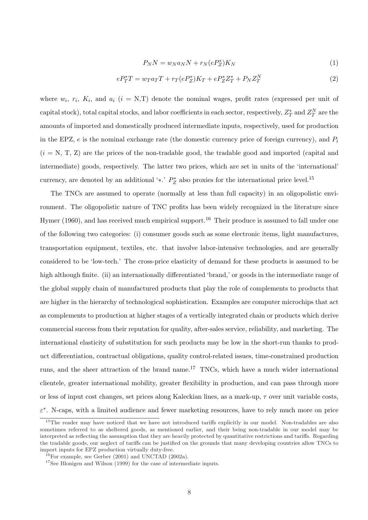$$
P_N N = w_N a_N N + r_N (e P_Z^*) K_N \tag{1}
$$

$$
eP_T^*T = w_T a_T T + r_T (eP_Z^*)K_T + eP_Z^* Z_T^* + P_N Z_T^N \tag{2}
$$

where  $w_i, r_i, K_i$ , and  $a_i$  ( $i = N, T$ ) denote the nominal wages, profit rates (expressed per unit of capital stock), total capital stocks, and labor coefficients in each sector, respectively,  $Z_T^*$  and  $Z_T^N$  are the amounts of imported and domestically produced intermediate inputs, respectively, used for production in the EPZ,  $e$  is the nominal exchange rate (the domestic currency price of foreign currency), and  $P_i$  $(i = N, T, Z)$  are the prices of the non-tradable good, the tradable good and imported (capital and intermediate) goods, respectively. The latter two prices, which are set in units of the 'international' currency, are denoted by an additional ' $\ast$ .'  $P_Z^*$  also proxies for the international price level.<sup>15</sup>

The TNCs are assumed to operate (normally at less than full capacity) in an oligopolistic environment. The oligopolistic nature of TNC profits has been widely recognized in the literature since Hymer (1960), and has received much empirical support.<sup>16</sup> Their produce is assumed to fall under one of the following two categories: (i) consumer goods such as some electronic items, light manufactures, transportation equipment, textiles, etc. that involve labor-intensive technologies, and are generally considered to be 'low-tech.' The cross-price elasticity of demand for these products is assumed to be high although finite. (ii) an internationally differentiated 'brand,' or goods in the intermediate range of the global supply chain of manufactured products that play the role of complements to products that are higher in the hierarchy of technological sophistication. Examples are computer microchips that act as complements to production at higher stages of a vertically integrated chain or products which derive commercial success from their reputation for quality, after-sales service, reliability, and marketing. The international elasticity of substitution for such products may be low in the short-run thanks to product differentiation, contractual obligations, quality control-related issues, time-constrained production runs, and the sheer attraction of the brand name.<sup>17</sup> TNCs, which have a much wider international clientele, greater international mobility, greater flexibility in production, and can pass through more or less of input cost changes, set prices along Kaleckian lines, as a mark-up,  $\tau$  over unit variable costs,  $\varepsilon^*$ . N-caps, with a limited audience and fewer marketing resources, have to rely much more on price

<sup>&</sup>lt;sup>15</sup>The reader may have noticed that we have not introduced tariffs explicitly in our model. Non-tradables are also sometimes referred to as sheltered goods, as mentioned earlier, and their being non-tradable in our model may be interpreted as reflecting the assumption that they are heavily protected by quantitative restrictions and tariffs. Regarding the tradable goods, our neglect of tariffs can be justified on the grounds that many developing countries allow TNCs to import inputs for EPZ production virtually duty-free.

 $^{16}$ For example, see Gerber (2001) and UNCTAD (2002a).

<sup>&</sup>lt;sup>17</sup>See Blonigen and Wilson (1999) for the case of intermediate inputs.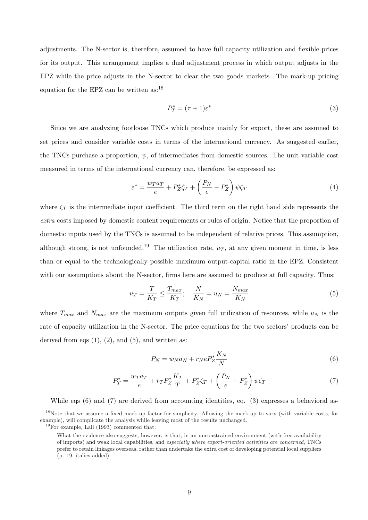adjustments. The N-sector is, therefore, assumed to have full capacity utilization and flexible prices for its output. This arrangement implies a dual adjustment process in which output adjusts in the EPZ while the price adjusts in the N-sector to clear the two goods markets. The mark-up pricing equation for the EPZ can be written as:<sup>18</sup>

$$
P_T^* = (\tau + 1)\varepsilon^* \tag{3}
$$

Since we are analyzing footloose TNCs which produce mainly for export, these are assumed to set prices and consider variable costs in terms of the international currency. As suggested earlier, the TNCs purchase a proportion,  $\psi$ , of intermediates from domestic sources. The unit variable cost measured in terms of the international currency can, therefore, be expressed as:

$$
\varepsilon^* = \frac{w_T a_T}{e} + P_Z^* \zeta_T + \left(\frac{P_N}{e} - P_Z^*\right) \psi \zeta_T \tag{4}
$$

where  $\zeta_T$  is the intermediate input coefficient. The third term on the right hand side represents the extra costs imposed by domestic content requirements or rules of origin. Notice that the proportion of domestic inputs used by the TNCs is assumed to be independent of relative prices. This assumption, although strong, is not unfounded.<sup>19</sup> The utilization rate,  $u_T$ , at any given moment in time, is less than or equal to the technologically possible maximum output-capital ratio in the EPZ. Consistent with our assumptions about the N-sector, firms here are assumed to produce at full capacity. Thus:

$$
u_T = \frac{T}{K_T} \le \frac{T_{max}}{K_T}; \quad \frac{N}{K_N} = u_N = \frac{N_{max}}{K_N}
$$
\n<sup>(5)</sup>

where  $T_{max}$  and  $N_{max}$  are the maximum outputs given full utilization of resources, while  $u_N$  is the rate of capacity utilization in the N-sector. The price equations for the two sectors' products can be derived from eqs  $(1)$ ,  $(2)$ , and  $(5)$ , and written as:

$$
P_N = w_N a_N + r_N e P_Z^* \frac{K_N}{N} \tag{6}
$$

$$
P_T^* = \frac{w_T a_T}{e} + r_T P_Z^* \frac{K_T}{T} + P_Z^* \zeta_T + \left(\frac{P_N}{e} - P_Z^*\right) \psi \zeta_T \tag{7}
$$

While eqs (6) and (7) are derived from accounting identities, eq. (3) expresses a behavioral as-

<sup>&</sup>lt;sup>18</sup>Note that we assume a fixed mark-up factor for simplicity. Allowing the mark-up to vary (with variable costs, for example), will complicate the analysis while leaving most of the results unchanged.

 $19$ For example, Lall (1993) commented that:

What the evidence also suggests, however, is that, in an unconstrained environment (with free availability of imports) and weak local capabilities, and especially where export-oriented activities are concerned, TNCs prefer to retain linkages overseas, rather than undertake the extra cost of developing potential local suppliers (p. 19, italics added).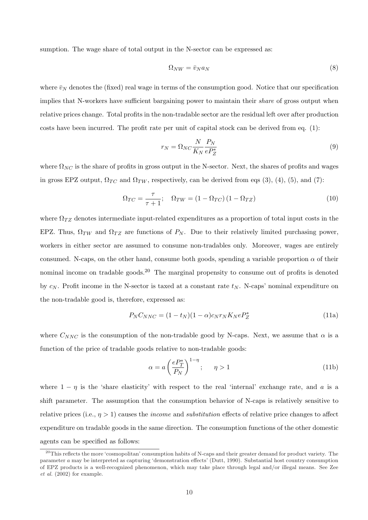sumption. The wage share of total output in the N-sector can be expressed as:

$$
\Omega_{NW} = \bar{v}_N a_N \tag{8}
$$

where  $\bar{v}_N$  denotes the (fixed) real wage in terms of the consumption good. Notice that our specification implies that N-workers have sufficient bargaining power to maintain their *share* of gross output when relative prices change. Total profits in the non-tradable sector are the residual left over after production costs have been incurred. The profit rate per unit of capital stock can be derived from eq. (1):

$$
r_N = \Omega_{NC} \frac{N}{K_N} \frac{P_N}{e P_Z^*}
$$
\n<sup>(9)</sup>

where  $\Omega_{NC}$  is the share of profits in gross output in the N-sector. Next, the shares of profits and wages in gross EPZ output,  $\Omega_{TC}$  and  $\Omega_{TW}$ , respectively, can be derived from eqs (3), (4), (5), and (7):

$$
\Omega_{TC} = \frac{\tau}{\tau + 1}; \quad \Omega_{TW} = (1 - \Omega_{TC}) (1 - \Omega_{TZ}) \tag{10}
$$

where  $\Omega_{TZ}$  denotes intermediate input-related expenditures as a proportion of total input costs in the EPZ. Thus,  $\Omega_{TW}$  and  $\Omega_{TZ}$  are functions of  $P_N$ . Due to their relatively limited purchasing power, workers in either sector are assumed to consume non-tradables only. Moreover, wages are entirely consumed. N-caps, on the other hand, consume both goods, spending a variable proportion  $\alpha$  of their nominal income on tradable goods.<sup>20</sup> The marginal propensity to consume out of profits is denoted by  $c_N$ . Profit income in the N-sector is taxed at a constant rate  $t_N$ . N-caps' nominal expenditure on the non-tradable good is, therefore, expressed as:

$$
P_N C_{NNC} = (1 - t_N)(1 - \alpha)c_N r_N K_N e P_Z^*
$$
\n(11a)

where  $C_{NNC}$  is the consumption of the non-tradable good by N-caps. Next, we assume that  $\alpha$  is a function of the price of tradable goods relative to non-tradable goods:

$$
\alpha = a \left(\frac{eP_T^*}{P_N}\right)^{1-\eta}; \qquad \eta > 1 \tag{11b}
$$

where  $1 - \eta$  is the 'share elasticity' with respect to the real 'internal' exchange rate, and a is a shift parameter. The assumption that the consumption behavior of N-caps is relatively sensitive to relative prices (i.e.,  $\eta > 1$ ) causes the *income* and *substitution* effects of relative price changes to affect expenditure on tradable goods in the same direction. The consumption functions of the other domestic agents can be specified as follows:

 $^{20}$ This reflects the more 'cosmopolitan' consumption habits of N-caps and their greater demand for product variety. The parameter a may be interpreted as capturing 'demonstration effects' (Dutt, 1990). Substantial host country consumption of EPZ products is a well-recognized phenomenon, which may take place through legal and/or illegal means. See Zee et al. (2002) for example.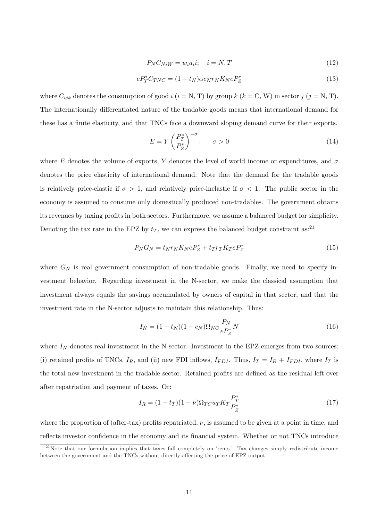$$
P_N C_{NiW} = w_i a_i i; \quad i = N, T \tag{12}
$$

$$
eP_T^*C_{TNC} = (1 - t_N)\alpha c_N r_N K_N eP_Z^*
$$
\n(13)

where  $C_{ijk}$  denotes the consumption of good  $i$   $(i = N, T)$  by group  $k$   $(k = C, W)$  in sector  $j$   $(j = N, T)$ . The internationally differentiated nature of the tradable goods means that international demand for these has a finite elasticity, and that TNCs face a downward sloping demand curve for their exports.

$$
E = Y \left(\frac{P_T^*}{P_Z^*}\right)^{-\sigma}; \quad \sigma > 0 \tag{14}
$$

where E denotes the volume of exports, Y denotes the level of world income or expenditures, and  $\sigma$ denotes the price elasticity of international demand. Note that the demand for the tradable goods is relatively price-elastic if  $\sigma > 1$ , and relatively price-inelastic if  $\sigma < 1$ . The public sector in the economy is assumed to consume only domestically produced non-tradables. The government obtains its revenues by taxing profits in both sectors. Furthermore, we assume a balanced budget for simplicity. Denoting the tax rate in the EPZ by  $t_T$ , we can express the balanced budget constraint as:<sup>21</sup>

$$
P_N G_N = t_N r_N K_N e P_Z^* + t_T r_T K_T e P_Z^* \tag{15}
$$

where  $G_N$  is real government consumption of non-tradable goods. Finally, we need to specify investment behavior. Regarding investment in the N-sector, we make the classical assumption that investment always equals the savings accumulated by owners of capital in that sector, and that the investment rate in the N-sector adjusts to maintain this relationship. Thus:

$$
I_N = (1 - t_N)(1 - c_N)\Omega_{NC} \frac{P_N}{e P_Z^*} N
$$
\n(16)

where  $I_N$  denotes real investment in the N-sector. Investment in the EPZ emerges from two sources: (i) retained profits of TNCs,  $I_R$ , and (ii) new FDI inflows,  $I_{FDI}$ . Thus,  $I_T = I_R + I_{FDI}$ , where  $I_T$  is the total new investment in the tradable sector. Retained profits are defined as the residual left over after repatriation and payment of taxes. Or:

$$
I_R = (1 - t_T)(1 - \nu)\Omega_{TC}u_T K_T \frac{P_T^*}{P_Z^*}
$$
\n(17)

where the proportion of (after-tax) profits repatriated,  $\nu$ , is assumed to be given at a point in time, and reflects investor confidence in the economy and its financial system. Whether or not TNCs introduce

 $21$ Note that our formulation implies that taxes fall completely on 'rents.' Tax changes simply redistribute income between the government and the TNCs without directly affecting the price of EPZ output.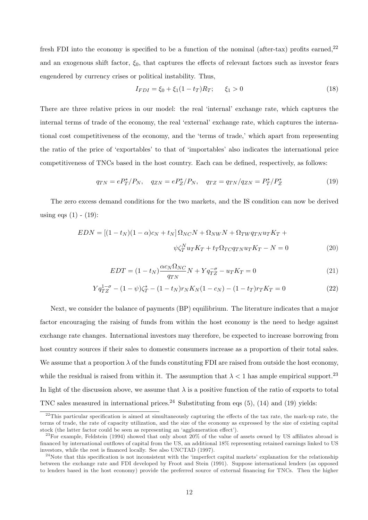fresh FDI into the economy is specified to be a function of the nominal (after-tax) profits earned, $^{22}$ and an exogenous shift factor,  $\xi_0$ , that captures the effects of relevant factors such as investor fears engendered by currency crises or political instability. Thus,

$$
I_{FDI} = \xi_0 + \xi_1 (1 - t_T) R_T; \qquad \xi_1 > 0 \tag{18}
$$

There are three relative prices in our model: the real 'internal' exchange rate, which captures the internal terms of trade of the economy, the real 'external' exchange rate, which captures the international cost competitiveness of the economy, and the 'terms of trade,' which apart from representing the ratio of the price of 'exportables' to that of 'importables' also indicates the international price competitiveness of TNCs based in the host country. Each can be defined, respectively, as follows:

$$
q_{TN} = eP_T^* / P_N, \quad q_{ZN} = eP_Z^* / P_N, \quad q_{TZ} = q_{TN} / q_{ZN} = P_T^* / P_Z^*
$$
(19)

The zero excess demand conditions for the two markets, and the IS condition can now be derived using eqs  $(1)$  -  $(19)$ :

$$
EDN = [(1 - tN)(1 - \alpha)cN + tN] \OmegaNCN + \OmegaNWN + \OmegaTWqTNuTKT +
$$
  

$$
\psi \zetaTN uTKT + tT \OmegaTCqTNuTKT - N = 0
$$
 (20)

$$
EDT = (1 - t_N)\frac{\alpha c_N \Omega_{NC}}{q_{TN}}N + Yq_{TZ}^{-\sigma} - u_T K_T = 0
$$
\n
$$
(21)
$$

$$
Yq_{TZ}^{1-\sigma} - (1-\psi)\zeta_T^* - (1-t_N)r_NK_N(1-c_N) - (1-t_T)r_TK_T = 0
$$
\n(22)

Next, we consider the balance of payments (BP) equilibrium. The literature indicates that a major factor encouraging the raising of funds from within the host economy is the need to hedge against exchange rate changes. International investors may therefore, be expected to increase borrowing from host country sources if their sales to domestic consumers increase as a proportion of their total sales. We assume that a proportion  $\lambda$  of the funds constituting FDI are raised from outside the host economy, while the residual is raised from within it. The assumption that  $\lambda < 1$  has ample empirical support.<sup>23</sup> In light of the discussion above, we assume that  $\lambda$  is a positive function of the ratio of exports to total TNC sales measured in international prices.<sup>24</sup> Substituting from eqs  $(5)$ ,  $(14)$  and  $(19)$  yields:

 $^{22}$ This particular specification is aimed at simultaneously capturing the effects of the tax rate, the mark-up rate, the terms of trade, the rate of capacity utilization, and the size of the economy as expressed by the size of existing capital stock (the latter factor could be seen as representing an 'agglomeration effect').

 $^{23}$ For example, Feldstein (1994) showed that only about 20% of the value of assets owned by US affiliates abroad is financed by international outflows of capital from the US, an additional 18% representing retained earnings linked to US investors, while the rest is financed locally. See also UNCTAD (1997).

 $24$ Note that this specification is not inconsistent with the 'imperfect capital markets' explanation for the relationship between the exchange rate and FDI developed by Froot and Stein (1991). Suppose international lenders (as opposed to lenders based in the host economy) provide the preferred source of external financing for TNCs. Then the higher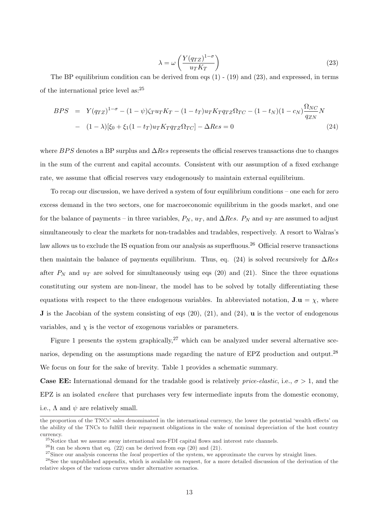$$
\lambda = \omega \left( \frac{Y(q_{TZ})^{1-\sigma}}{u_T K_T} \right) \tag{23}
$$

The BP equilibrium condition can be derived from eqs (1) - (19) and (23), and expressed, in terms of the international price level as:<sup>25</sup>

$$
BPS = Y(q_{TZ})^{1-\sigma} - (1-\psi)\zeta_T u_T K_T - (1-t_T)u_T K_T q_{TZ} \Omega_{TC} - (1-t_N)(1-c_N)\frac{\Omega_{NC}}{q_{ZN}}N - (1-\lambda)[\xi_0 + \xi_1(1-t_T)u_T K_T q_{TZ} \Omega_{TC}] - \Delta Res = 0
$$
\n(24)

where BPS denotes a BP surplus and  $\Delta Res$  represents the official reserves transactions due to changes in the sum of the current and capital accounts. Consistent with our assumption of a fixed exchange rate, we assume that official reserves vary endogenously to maintain external equilibrium.

To recap our discussion, we have derived a system of four equilibrium conditions – one each for zero excess demand in the two sectors, one for macroeconomic equilibrium in the goods market, and one for the balance of payments – in three variables,  $P_N$ ,  $u_T$ , and  $\Delta Res$ .  $P_N$  and  $u_T$  are assumed to adjust simultaneously to clear the markets for non-tradables and tradables, respectively. A resort to Walras's law allows us to exclude the IS equation from our analysis as superfluous.<sup>26</sup> Official reserve transactions then maintain the balance of payments equilibrium. Thus, eq. (24) is solved recursively for  $\Delta Res$ after  $P_N$  and  $u_T$  are solved for simultaneously using eqs (20) and (21). Since the three equations constituting our system are non-linear, the model has to be solved by totally differentiating these equations with respect to the three endogenous variables. In abbreviated notation,  $J.u = \chi$ , where **J** is the Jacobian of the system consisting of eqs  $(20)$ ,  $(21)$ , and  $(24)$ , **u** is the vector of endogenous variables, and  $\chi$  is the vector of exogenous variables or parameters.

Figure 1 presents the system graphically,  $27$  which can be analyzed under several alternative scenarios, depending on the assumptions made regarding the nature of EPZ production and output.<sup>28</sup> We focus on four for the sake of brevity. Table 1 provides a schematic summary.

**Case EE:** International demand for the tradable good is relatively *price-elastic*, i.e.,  $\sigma > 1$ , and the EPZ is an isolated enclave that purchases very few intermediate inputs from the domestic economy, i.e.,  $\Lambda$  and  $\psi$  are relatively small.

the proportion of the TNCs' sales denominated in the international currency, the lower the potential 'wealth effects' on the ability of the TNCs to fulfill their repayment obligations in the wake of nominal depreciation of the host country currency.

<sup>&</sup>lt;sup>25</sup>Notice that we assume away international non-FDI capital flows and interest rate channels.

 $^{26}$ It can be shown that eq. (22) can be derived from eqs (20) and (21).

 $27\text{Since our analysis concerns the *local* properties of the system, we approximate the curves by straight lines.$ 

<sup>&</sup>lt;sup>28</sup>See the unpublished appendix, which is available on request, for a more detailed discussion of the derivation of the relative slopes of the various curves under alternative scenarios.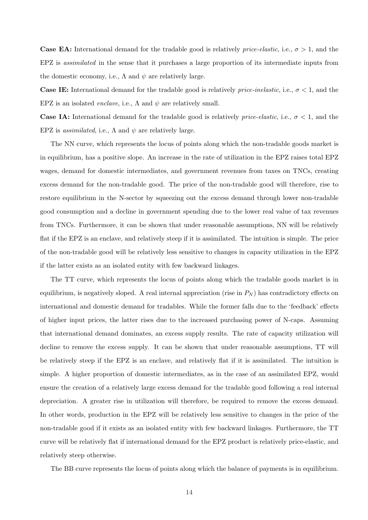**Case EA:** International demand for the tradable good is relatively *price-elastic*, i.e.,  $\sigma > 1$ , and the EPZ is *assimilated* in the sense that it purchases a large proportion of its intermediate inputs from the domestic economy, i.e.,  $\Lambda$  and  $\psi$  are relatively large.

**Case IE:** International demand for the tradable good is relatively *price-inelastic*, i.e.,  $\sigma < 1$ , and the EPZ is an isolated *enclave*, i.e.,  $\Lambda$  and  $\psi$  are relatively small.

**Case IA:** International demand for the tradable good is relatively *price-elastic*, i.e.,  $\sigma < 1$ , and the EPZ is *assimilated*, i.e.,  $\Lambda$  and  $\psi$  are relatively large.

The NN curve, which represents the locus of points along which the non-tradable goods market is in equilibrium, has a positive slope. An increase in the rate of utilization in the EPZ raises total EPZ wages, demand for domestic intermediates, and government revenues from taxes on TNCs, creating excess demand for the non-tradable good. The price of the non-tradable good will therefore, rise to restore equilibrium in the N-sector by squeezing out the excess demand through lower non-tradable good consumption and a decline in government spending due to the lower real value of tax revenues from TNCs. Furthermore, it can be shown that under reasonable assumptions, NN will be relatively flat if the EPZ is an enclave, and relatively steep if it is assimilated. The intuition is simple. The price of the non-tradable good will be relatively less sensitive to changes in capacity utilization in the EPZ if the latter exists as an isolated entity with few backward linkages.

The TT curve, which represents the locus of points along which the tradable goods market is in equilibrium, is negatively sloped. A real internal appreciation (rise in  $P_N$ ) has contradictory effects on international and domestic demand for tradables. While the former falls due to the 'feedback' effects of higher input prices, the latter rises due to the increased purchasing power of N-caps. Assuming that international demand dominates, an excess supply results. The rate of capacity utilization will decline to remove the excess supply. It can be shown that under reasonable assumptions, TT will be relatively steep if the EPZ is an enclave, and relatively flat if it is assimilated. The intuition is simple. A higher proportion of domestic intermediates, as in the case of an assimilated EPZ, would ensure the creation of a relatively large excess demand for the tradable good following a real internal depreciation. A greater rise in utilization will therefore, be required to remove the excess demand. In other words, production in the EPZ will be relatively less sensitive to changes in the price of the non-tradable good if it exists as an isolated entity with few backward linkages. Furthermore, the TT curve will be relatively flat if international demand for the EPZ product is relatively price-elastic, and relatively steep otherwise.

The BB curve represents the locus of points along which the balance of payments is in equilibrium.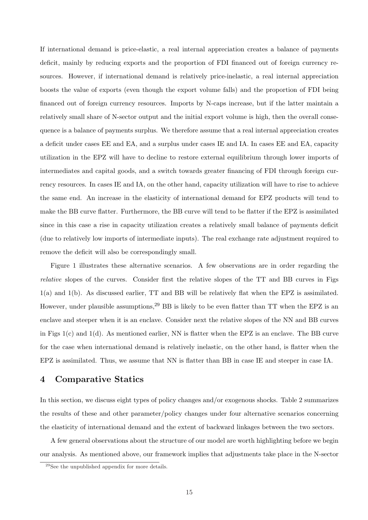If international demand is price-elastic, a real internal appreciation creates a balance of payments deficit, mainly by reducing exports and the proportion of FDI financed out of foreign currency resources. However, if international demand is relatively price-inelastic, a real internal appreciation boosts the value of exports (even though the export volume falls) and the proportion of FDI being financed out of foreign currency resources. Imports by N-caps increase, but if the latter maintain a relatively small share of N-sector output and the initial export volume is high, then the overall consequence is a balance of payments surplus. We therefore assume that a real internal appreciation creates a deficit under cases EE and EA, and a surplus under cases IE and IA. In cases EE and EA, capacity utilization in the EPZ will have to decline to restore external equilibrium through lower imports of intermediates and capital goods, and a switch towards greater financing of FDI through foreign currency resources. In cases IE and IA, on the other hand, capacity utilization will have to rise to achieve the same end. An increase in the elasticity of international demand for EPZ products will tend to make the BB curve flatter. Furthermore, the BB curve will tend to be flatter if the EPZ is assimilated since in this case a rise in capacity utilization creates a relatively small balance of payments deficit (due to relatively low imports of intermediate inputs). The real exchange rate adjustment required to remove the deficit will also be correspondingly small.

Figure 1 illustrates these alternative scenarios. A few observations are in order regarding the relative slopes of the curves. Consider first the relative slopes of the TT and BB curves in Figs 1(a) and 1(b). As discussed earlier, TT and BB will be relatively flat when the EPZ is assimilated. However, under plausible assumptions,  $29$  BB is likely to be even flatter than TT when the EPZ is an enclave and steeper when it is an enclave. Consider next the relative slopes of the NN and BB curves in Figs  $1(c)$  and  $1(d)$ . As mentioned earlier, NN is flatter when the EPZ is an enclave. The BB curve for the case when international demand is relatively inelastic, on the other hand, is flatter when the EPZ is assimilated. Thus, we assume that NN is flatter than BB in case IE and steeper in case IA.

#### 4 Comparative Statics

In this section, we discuss eight types of policy changes and/or exogenous shocks. Table 2 summarizes the results of these and other parameter/policy changes under four alternative scenarios concerning the elasticity of international demand and the extent of backward linkages between the two sectors.

A few general observations about the structure of our model are worth highlighting before we begin our analysis. As mentioned above, our framework implies that adjustments take place in the N-sector

<sup>29</sup>See the unpublished appendix for more details.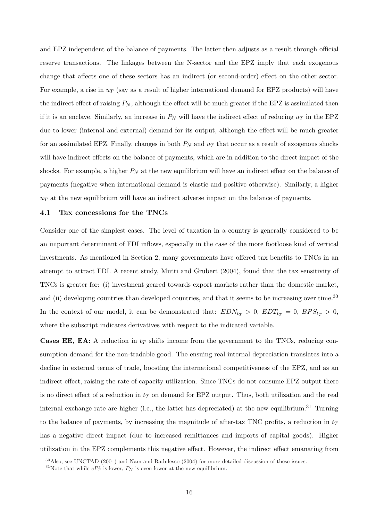and EPZ independent of the balance of payments. The latter then adjusts as a result through official reserve transactions. The linkages between the N-sector and the EPZ imply that each exogenous change that affects one of these sectors has an indirect (or second-order) effect on the other sector. For example, a rise in  $u_T$  (say as a result of higher international demand for EPZ products) will have the indirect effect of raising  $P_N$ , although the effect will be much greater if the EPZ is assimilated then if it is an enclave. Similarly, an increase in  $P_N$  will have the indirect effect of reducing  $u_T$  in the EPZ due to lower (internal and external) demand for its output, although the effect will be much greater for an assimilated EPZ. Finally, changes in both  $P_N$  and  $u_T$  that occur as a result of exogenous shocks will have indirect effects on the balance of payments, which are in addition to the direct impact of the shocks. For example, a higher  $P_N$  at the new equilibrium will have an indirect effect on the balance of payments (negative when international demand is elastic and positive otherwise). Similarly, a higher  $u<sub>T</sub>$  at the new equilibrium will have an indirect adverse impact on the balance of payments.

#### 4.1 Tax concessions for the TNCs

Consider one of the simplest cases. The level of taxation in a country is generally considered to be an important determinant of FDI inflows, especially in the case of the more footloose kind of vertical investments. As mentioned in Section 2, many governments have offered tax benefits to TNCs in an attempt to attract FDI. A recent study, Mutti and Grubert (2004), found that the tax sensitivity of TNCs is greater for: (i) investment geared towards export markets rather than the domestic market, and (ii) developing countries than developed countries, and that it seems to be increasing over time.<sup>30</sup> In the context of our model, it can be demonstrated that:  $EDN_{t_T} > 0$ ,  $EDT_{t_T} = 0$ ,  $BPS_{t_T} > 0$ , where the subscript indicates derivatives with respect to the indicated variable.

**Cases EE, EA:** A reduction in  $t<sub>T</sub>$  shifts income from the government to the TNCs, reducing consumption demand for the non-tradable good. The ensuing real internal depreciation translates into a decline in external terms of trade, boosting the international competitiveness of the EPZ, and as an indirect effect, raising the rate of capacity utilization. Since TNCs do not consume EPZ output there is no direct effect of a reduction in  $t_T$  on demand for EPZ output. Thus, both utilization and the real internal exchange rate are higher (i.e., the latter has depreciated) at the new equilibrium.<sup>31</sup> Turning to the balance of payments, by increasing the magnitude of after-tax TNC profits, a reduction in  $t_T$ has a negative direct impact (due to increased remittances and imports of capital goods). Higher utilization in the EPZ complements this negative effect. However, the indirect effect emanating from

<sup>30</sup>Also, see UNCTAD (2001) and Nam and Radulesco (2004) for more detailed discussion of these issues.

<sup>&</sup>lt;sup>31</sup>Note that while  $eP_T^*$  is lower,  $P_N$  is even lower at the new equilibrium.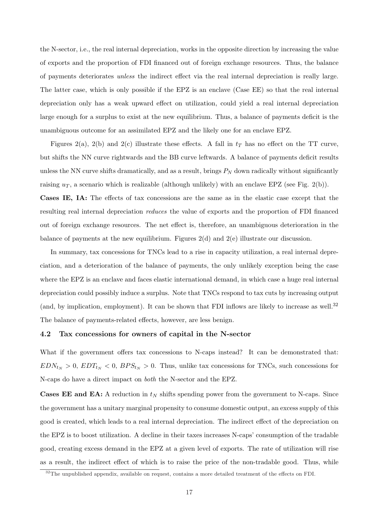the N-sector, i.e., the real internal depreciation, works in the opposite direction by increasing the value of exports and the proportion of FDI financed out of foreign exchange resources. Thus, the balance of payments deteriorates unless the indirect effect via the real internal depreciation is really large. The latter case, which is only possible if the EPZ is an enclave (Case EE) so that the real internal depreciation only has a weak upward effect on utilization, could yield a real internal depreciation large enough for a surplus to exist at the new equilibrium. Thus, a balance of payments deficit is the unambiguous outcome for an assimilated EPZ and the likely one for an enclave EPZ.

Figures 2(a), 2(b) and 2(c) illustrate these effects. A fall in  $t_T$  has no effect on the TT curve, but shifts the NN curve rightwards and the BB curve leftwards. A balance of payments deficit results unless the NN curve shifts dramatically, and as a result, brings  $P<sub>N</sub>$  down radically without significantly raising  $u_T$ , a scenario which is realizable (although unlikely) with an enclave EPZ (see Fig. 2(b)).

Cases IE, IA: The effects of tax concessions are the same as in the elastic case except that the resulting real internal depreciation reduces the value of exports and the proportion of FDI financed out of foreign exchange resources. The net effect is, therefore, an unambiguous deterioration in the balance of payments at the new equilibrium. Figures  $2(d)$  and  $2(e)$  illustrate our discussion.

In summary, tax concessions for TNCs lead to a rise in capacity utilization, a real internal depreciation, and a deterioration of the balance of payments, the only unlikely exception being the case where the EPZ is an enclave and faces elastic international demand, in which case a huge real internal depreciation could possibly induce a surplus. Note that TNCs respond to tax cuts by increasing output (and, by implication, employment). It can be shown that FDI inflows are likely to increase as well.<sup>32</sup> The balance of payments-related effects, however, are less benign.

#### 4.2 Tax concessions for owners of capital in the N-sector

What if the government offers tax concessions to N-caps instead? It can be demonstrated that:  $EDN_{t_N} > 0$ ,  $EDT_{t_N} < 0$ ,  $BPS_{t_N} > 0$ . Thus, unlike tax concessions for TNCs, such concessions for N-caps do have a direct impact on both the N-sector and the EPZ.

**Cases EE and EA:** A reduction in  $t_N$  shifts spending power from the government to N-caps. Since the government has a unitary marginal propensity to consume domestic output, an excess supply of this good is created, which leads to a real internal depreciation. The indirect effect of the depreciation on the EPZ is to boost utilization. A decline in their taxes increases N-caps' consumption of the tradable good, creating excess demand in the EPZ at a given level of exports. The rate of utilization will rise as a result, the indirect effect of which is to raise the price of the non-tradable good. Thus, while

<sup>&</sup>lt;sup>32</sup>The unpublished appendix, available on request, contains a more detailed treatment of the effects on FDI.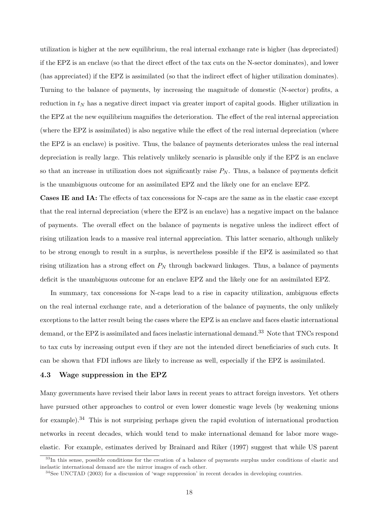utilization is higher at the new equilibrium, the real internal exchange rate is higher (has depreciated) if the EPZ is an enclave (so that the direct effect of the tax cuts on the N-sector dominates), and lower (has appreciated) if the EPZ is assimilated (so that the indirect effect of higher utilization dominates). Turning to the balance of payments, by increasing the magnitude of domestic (N-sector) profits, a reduction in  $t_N$  has a negative direct impact via greater import of capital goods. Higher utilization in the EPZ at the new equilibrium magnifies the deterioration. The effect of the real internal appreciation (where the EPZ is assimilated) is also negative while the effect of the real internal depreciation (where the EPZ is an enclave) is positive. Thus, the balance of payments deteriorates unless the real internal depreciation is really large. This relatively unlikely scenario is plausible only if the EPZ is an enclave so that an increase in utilization does not significantly raise  $P_N$ . Thus, a balance of payments deficit is the unambiguous outcome for an assimilated EPZ and the likely one for an enclave EPZ.

Cases IE and IA: The effects of tax concessions for N-caps are the same as in the elastic case except that the real internal depreciation (where the EPZ is an enclave) has a negative impact on the balance of payments. The overall effect on the balance of payments is negative unless the indirect effect of rising utilization leads to a massive real internal appreciation. This latter scenario, although unlikely to be strong enough to result in a surplus, is nevertheless possible if the EPZ is assimilated so that rising utilization has a strong effect on  $P_N$  through backward linkages. Thus, a balance of payments deficit is the unambiguous outcome for an enclave EPZ and the likely one for an assimilated EPZ.

In summary, tax concessions for N-caps lead to a rise in capacity utilization, ambiguous effects on the real internal exchange rate, and a deterioration of the balance of payments, the only unlikely exceptions to the latter result being the cases where the EPZ is an enclave and faces elastic international demand, or the EPZ is assimilated and faces inelastic international demand.<sup>33</sup> Note that TNCs respond to tax cuts by increasing output even if they are not the intended direct beneficiaries of such cuts. It can be shown that FDI inflows are likely to increase as well, especially if the EPZ is assimilated.

#### 4.3 Wage suppression in the EPZ

Many governments have revised their labor laws in recent years to attract foreign investors. Yet others have pursued other approaches to control or even lower domestic wage levels (by weakening unions for example).<sup>34</sup> This is not surprising perhaps given the rapid evolution of international production networks in recent decades, which would tend to make international demand for labor more wageelastic. For example, estimates derived by Brainard and Riker (1997) suggest that while US parent

 $33$ In this sense, possible conditions for the creation of a balance of payments surplus under conditions of elastic and inelastic international demand are the mirror images of each other.

<sup>&</sup>lt;sup>34</sup>See UNCTAD (2003) for a discussion of 'wage suppression' in recent decades in developing countries.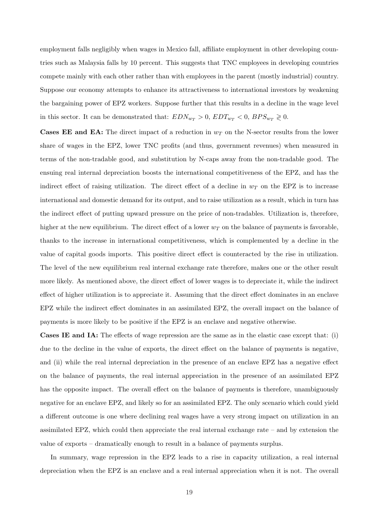employment falls negligibly when wages in Mexico fall, affiliate employment in other developing countries such as Malaysia falls by 10 percent. This suggests that TNC employees in developing countries compete mainly with each other rather than with employees in the parent (mostly industrial) country. Suppose our economy attempts to enhance its attractiveness to international investors by weakening the bargaining power of EPZ workers. Suppose further that this results in a decline in the wage level in this sector. It can be demonstrated that:  $EDN_{w_T} > 0$ ,  $EDT_{w_T} < 0$ ,  $BPS_{w_T} \ge 0$ .

**Cases EE and EA:** The direct impact of a reduction in  $w_T$  on the N-sector results from the lower share of wages in the EPZ, lower TNC profits (and thus, government revenues) when measured in terms of the non-tradable good, and substitution by N-caps away from the non-tradable good. The ensuing real internal depreciation boosts the international competitiveness of the EPZ, and has the indirect effect of raising utilization. The direct effect of a decline in  $w_T$  on the EPZ is to increase international and domestic demand for its output, and to raise utilization as a result, which in turn has the indirect effect of putting upward pressure on the price of non-tradables. Utilization is, therefore, higher at the new equilibrium. The direct effect of a lower  $w_T$  on the balance of payments is favorable, thanks to the increase in international competitiveness, which is complemented by a decline in the value of capital goods imports. This positive direct effect is counteracted by the rise in utilization. The level of the new equilibrium real internal exchange rate therefore, makes one or the other result more likely. As mentioned above, the direct effect of lower wages is to depreciate it, while the indirect effect of higher utilization is to appreciate it. Assuming that the direct effect dominates in an enclave EPZ while the indirect effect dominates in an assimilated EPZ, the overall impact on the balance of payments is more likely to be positive if the EPZ is an enclave and negative otherwise.

Cases IE and IA: The effects of wage repression are the same as in the elastic case except that: (i) due to the decline in the value of exports, the direct effect on the balance of payments is negative, and (ii) while the real internal depreciation in the presence of an enclave EPZ has a negative effect on the balance of payments, the real internal appreciation in the presence of an assimilated EPZ has the opposite impact. The overall effect on the balance of payments is therefore, unambiguously negative for an enclave EPZ, and likely so for an assimilated EPZ. The only scenario which could yield a different outcome is one where declining real wages have a very strong impact on utilization in an assimilated EPZ, which could then appreciate the real internal exchange rate – and by extension the value of exports – dramatically enough to result in a balance of payments surplus.

In summary, wage repression in the EPZ leads to a rise in capacity utilization, a real internal depreciation when the EPZ is an enclave and a real internal appreciation when it is not. The overall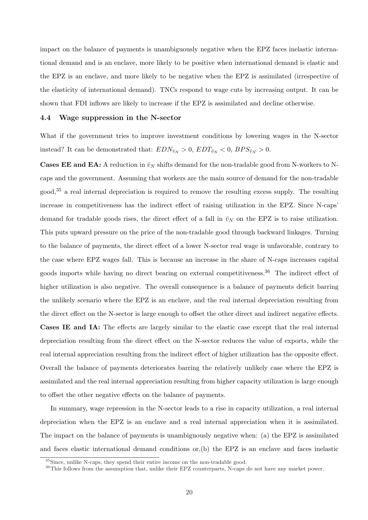impact on the balance of payments is unambiguously negative when the EPZ faces inelastic international demand and is an enclave, more likely to be positive when international demand is elastic and the EPZ is an enclave, and more likely to be negative when the EPZ is assimilated (irrespective of the elasticity of international demand). TNCs respond to wage cuts by increasing output. It can be shown that FDI inflows are likely to increase if the EPZ is assimilated and decline otherwise.

#### 4.4 Wage suppression in the N-sector

What if the government tries to improve investment conditions by lowering wages in the N-sector instead? It can be demonstrated that:  $EDN_{\bar{v}_N} > 0$ ,  $EDT_{\bar{v}_N} < 0$ ,  $BPS_{\bar{v}_N} > 0$ .

**Cases EE and EA:** A reduction in  $\bar{v}_N$  shifts demand for the non-tradable good from N-workers to Ncaps and the government. Assuming that workers are the main source of demand for the non-tradable good,<sup>35</sup> a real internal depreciation is required to remove the resulting excess supply. The resulting increase in competitiveness has the indirect effect of raising utilization in the EPZ. Since N-caps' demand for tradable goods rises, the direct effect of a fall in  $\bar{v}_N$  on the EPZ is to raise utilization. This puts upward pressure on the price of the non-tradable good through backward linkages. Turning to the balance of payments, the direct effect of a lower N-sector real wage is unfavorable, contrary to the case where EPZ wages fall. This is because an increase in the share of N-caps increases capital goods imports while having no direct bearing on external competitiveness.<sup>36</sup> The indirect effect of higher utilization is also negative. The overall consequence is a balance of payments deficit barring the unlikely scenario where the EPZ is an enclave, and the real internal depreciation resulting from the direct effect on the N-sector is large enough to offset the other direct and indirect negative effects. Cases IE and IA: The effects are largely similar to the elastic case except that the real internal depreciation resulting from the direct effect on the N-sector reduces the value of exports, while the real internal appreciation resulting from the indirect effect of higher utilization has the opposite effect. Overall the balance of payments deteriorates barring the relatively unlikely case where the EPZ is assimilated and the real internal appreciation resulting from higher capacity utilization is large enough to offset the other negative effects on the balance of payments.

In summary, wage repression in the N-sector leads to a rise in capacity utilization, a real internal depreciation when the EPZ is an enclave and a real internal appreciation when it is assimilated. The impact on the balance of payments is unambiguously negative when: (a) the EPZ is assimilated and faces elastic international demand conditions or,(b) the EPZ is an enclave and faces inelastic

<sup>&</sup>lt;sup>35</sup>Since, unlike N-caps, they spend their entire income on the non-tradable good.

<sup>&</sup>lt;sup>36</sup>This follows from the assumption that, unlike their EPZ counterparts, N-caps do not have any market power.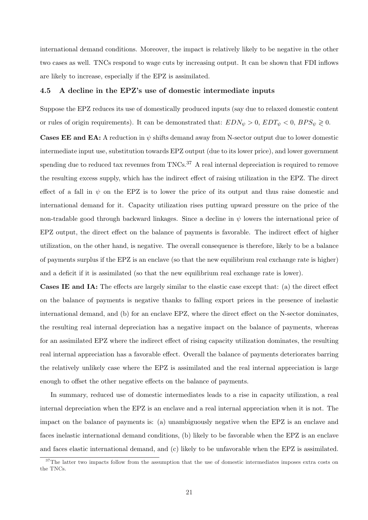international demand conditions. Moreover, the impact is relatively likely to be negative in the other two cases as well. TNCs respond to wage cuts by increasing output. It can be shown that FDI inflows are likely to increase, especially if the EPZ is assimilated.

#### 4.5 A decline in the EPZ's use of domestic intermediate inputs

Suppose the EPZ reduces its use of domestically produced inputs (say due to relaxed domestic content or rules of origin requirements). It can be demonstrated that:  $EDN_{\psi} > 0$ ,  $EDT_{\psi} < 0$ ,  $BPS_{\psi} \geq 0$ .

**Cases EE and EA:** A reduction in  $\psi$  shifts demand away from N-sector output due to lower domestic intermediate input use, substitution towards EPZ output (due to its lower price), and lower government spending due to reduced tax revenues from TNCs.<sup>37</sup> A real internal depreciation is required to remove the resulting excess supply, which has the indirect effect of raising utilization in the EPZ. The direct effect of a fall in  $\psi$  on the EPZ is to lower the price of its output and thus raise domestic and international demand for it. Capacity utilization rises putting upward pressure on the price of the non-tradable good through backward linkages. Since a decline in  $\psi$  lowers the international price of EPZ output, the direct effect on the balance of payments is favorable. The indirect effect of higher utilization, on the other hand, is negative. The overall consequence is therefore, likely to be a balance of payments surplus if the EPZ is an enclave (so that the new equilibrium real exchange rate is higher) and a deficit if it is assimilated (so that the new equilibrium real exchange rate is lower).

Cases IE and IA: The effects are largely similar to the elastic case except that: (a) the direct effect on the balance of payments is negative thanks to falling export prices in the presence of inelastic international demand, and (b) for an enclave EPZ, where the direct effect on the N-sector dominates, the resulting real internal depreciation has a negative impact on the balance of payments, whereas for an assimilated EPZ where the indirect effect of rising capacity utilization dominates, the resulting real internal appreciation has a favorable effect. Overall the balance of payments deteriorates barring the relatively unlikely case where the EPZ is assimilated and the real internal appreciation is large enough to offset the other negative effects on the balance of payments.

In summary, reduced use of domestic intermediates leads to a rise in capacity utilization, a real internal depreciation when the EPZ is an enclave and a real internal appreciation when it is not. The impact on the balance of payments is: (a) unambiguously negative when the EPZ is an enclave and faces inelastic international demand conditions, (b) likely to be favorable when the EPZ is an enclave and faces elastic international demand, and (c) likely to be unfavorable when the EPZ is assimilated.

 $37$ The latter two impacts follow from the assumption that the use of domestic intermediates imposes extra costs on the TNCs.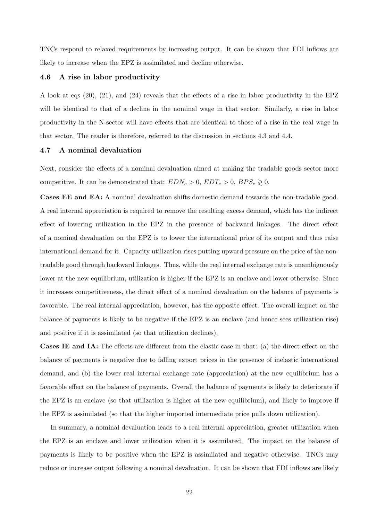TNCs respond to relaxed requirements by increasing output. It can be shown that FDI inflows are likely to increase when the EPZ is assimilated and decline otherwise.

#### 4.6 A rise in labor productivity

A look at eqs (20), (21), and (24) reveals that the effects of a rise in labor productivity in the EPZ will be identical to that of a decline in the nominal wage in that sector. Similarly, a rise in labor productivity in the N-sector will have effects that are identical to those of a rise in the real wage in that sector. The reader is therefore, referred to the discussion in sections 4.3 and 4.4.

#### 4.7 A nominal devaluation

Next, consider the effects of a nominal devaluation aimed at making the tradable goods sector more competitive. It can be demonstrated that:  $EDN_e > 0$ ,  $EDT_e > 0$ ,  $BPS_e \ge 0$ .

Cases EE and EA: A nominal devaluation shifts domestic demand towards the non-tradable good. A real internal appreciation is required to remove the resulting excess demand, which has the indirect effect of lowering utilization in the EPZ in the presence of backward linkages. The direct effect of a nominal devaluation on the EPZ is to lower the international price of its output and thus raise international demand for it. Capacity utilization rises putting upward pressure on the price of the nontradable good through backward linkages. Thus, while the real internal exchange rate is unambiguously lower at the new equilibrium, utilization is higher if the EPZ is an enclave and lower otherwise. Since it increases competitiveness, the direct effect of a nominal devaluation on the balance of payments is favorable. The real internal appreciation, however, has the opposite effect. The overall impact on the balance of payments is likely to be negative if the EPZ is an enclave (and hence sees utilization rise) and positive if it is assimilated (so that utilization declines).

Cases IE and IA: The effects are different from the elastic case in that: (a) the direct effect on the balance of payments is negative due to falling export prices in the presence of inelastic international demand, and (b) the lower real internal exchange rate (appreciation) at the new equilibrium has a favorable effect on the balance of payments. Overall the balance of payments is likely to deteriorate if the EPZ is an enclave (so that utilization is higher at the new equilibrium), and likely to improve if the EPZ is assimilated (so that the higher imported intermediate price pulls down utilization).

In summary, a nominal devaluation leads to a real internal appreciation, greater utilization when the EPZ is an enclave and lower utilization when it is assimilated. The impact on the balance of payments is likely to be positive when the EPZ is assimilated and negative otherwise. TNCs may reduce or increase output following a nominal devaluation. It can be shown that FDI inflows are likely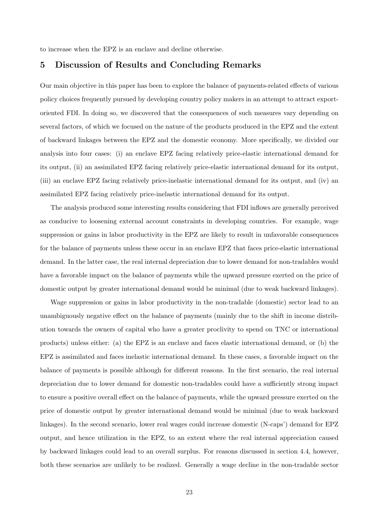to increase when the EPZ is an enclave and decline otherwise.

#### 5 Discussion of Results and Concluding Remarks

Our main objective in this paper has been to explore the balance of payments-related effects of various policy choices frequently pursued by developing country policy makers in an attempt to attract exportoriented FDI. In doing so, we discovered that the consequences of such measures vary depending on several factors, of which we focused on the nature of the products produced in the EPZ and the extent of backward linkages between the EPZ and the domestic economy. More specifically, we divided our analysis into four cases: (i) an enclave EPZ facing relatively price-elastic international demand for its output, (ii) an assimilated EPZ facing relatively price-elastic international demand for its output, (iii) an enclave EPZ facing relatively price-inelastic international demand for its output, and (iv) an assimilated EPZ facing relatively price-inelastic international demand for its output.

The analysis produced some interesting results considering that FDI inflows are generally perceived as conducive to loosening external account constraints in developing countries. For example, wage suppression or gains in labor productivity in the EPZ are likely to result in unfavorable consequences for the balance of payments unless these occur in an enclave EPZ that faces price-elastic international demand. In the latter case, the real internal depreciation due to lower demand for non-tradables would have a favorable impact on the balance of payments while the upward pressure exerted on the price of domestic output by greater international demand would be minimal (due to weak backward linkages).

Wage suppression or gains in labor productivity in the non-tradable (domestic) sector lead to an unambiguously negative effect on the balance of payments (mainly due to the shift in income distribution towards the owners of capital who have a greater proclivity to spend on TNC or international products) unless either: (a) the EPZ is an enclave and faces elastic international demand, or (b) the EPZ is assimilated and faces inelastic international demand. In these cases, a favorable impact on the balance of payments is possible although for different reasons. In the first scenario, the real internal depreciation due to lower demand for domestic non-tradables could have a sufficiently strong impact to ensure a positive overall effect on the balance of payments, while the upward pressure exerted on the price of domestic output by greater international demand would be minimal (due to weak backward linkages). In the second scenario, lower real wages could increase domestic (N-caps') demand for EPZ output, and hence utilization in the EPZ, to an extent where the real internal appreciation caused by backward linkages could lead to an overall surplus. For reasons discussed in section 4.4, however, both these scenarios are unlikely to be realized. Generally a wage decline in the non-tradable sector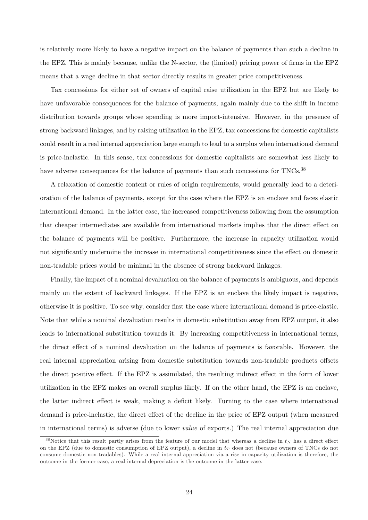is relatively more likely to have a negative impact on the balance of payments than such a decline in the EPZ. This is mainly because, unlike the N-sector, the (limited) pricing power of firms in the EPZ means that a wage decline in that sector directly results in greater price competitiveness.

Tax concessions for either set of owners of capital raise utilization in the EPZ but are likely to have unfavorable consequences for the balance of payments, again mainly due to the shift in income distribution towards groups whose spending is more import-intensive. However, in the presence of strong backward linkages, and by raising utilization in the EPZ, tax concessions for domestic capitalists could result in a real internal appreciation large enough to lead to a surplus when international demand is price-inelastic. In this sense, tax concessions for domestic capitalists are somewhat less likely to have adverse consequences for the balance of payments than such concessions for TNCs.<sup>38</sup>

A relaxation of domestic content or rules of origin requirements, would generally lead to a deterioration of the balance of payments, except for the case where the EPZ is an enclave and faces elastic international demand. In the latter case, the increased competitiveness following from the assumption that cheaper intermediates are available from international markets implies that the direct effect on the balance of payments will be positive. Furthermore, the increase in capacity utilization would not significantly undermine the increase in international competitiveness since the effect on domestic non-tradable prices would be minimal in the absence of strong backward linkages.

Finally, the impact of a nominal devaluation on the balance of payments is ambiguous, and depends mainly on the extent of backward linkages. If the EPZ is an enclave the likely impact is negative, otherwise it is positive. To see why, consider first the case where international demand is price-elastic. Note that while a nominal devaluation results in domestic substitution away from EPZ output, it also leads to international substitution towards it. By increasing competitiveness in international terms, the direct effect of a nominal devaluation on the balance of payments is favorable. However, the real internal appreciation arising from domestic substitution towards non-tradable products offsets the direct positive effect. If the EPZ is assimilated, the resulting indirect effect in the form of lower utilization in the EPZ makes an overall surplus likely. If on the other hand, the EPZ is an enclave, the latter indirect effect is weak, making a deficit likely. Turning to the case where international demand is price-inelastic, the direct effect of the decline in the price of EPZ output (when measured in international terms) is adverse (due to lower value of exports.) The real internal appreciation due

<sup>&</sup>lt;sup>38</sup>Notice that this result partly arises from the feature of our model that whereas a decline in  $t_N$  has a direct effect on the EPZ (due to domestic consumption of EPZ output), a decline in  $t_T$  does not (because owners of TNCs do not consume domestic non-tradables). While a real internal appreciation via a rise in capacity utilization is therefore, the outcome in the former case, a real internal depreciation is the outcome in the latter case.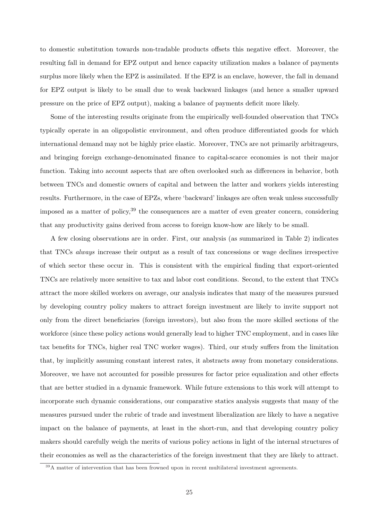to domestic substitution towards non-tradable products offsets this negative effect. Moreover, the resulting fall in demand for EPZ output and hence capacity utilization makes a balance of payments surplus more likely when the EPZ is assimilated. If the EPZ is an enclave, however, the fall in demand for EPZ output is likely to be small due to weak backward linkages (and hence a smaller upward pressure on the price of EPZ output), making a balance of payments deficit more likely.

Some of the interesting results originate from the empirically well-founded observation that TNCs typically operate in an oligopolistic environment, and often produce differentiated goods for which international demand may not be highly price elastic. Moreover, TNCs are not primarily arbitrageurs, and bringing foreign exchange-denominated finance to capital-scarce economies is not their major function. Taking into account aspects that are often overlooked such as differences in behavior, both between TNCs and domestic owners of capital and between the latter and workers yields interesting results. Furthermore, in the case of EPZs, where 'backward' linkages are often weak unless successfully imposed as a matter of policy,  $39$  the consequences are a matter of even greater concern, considering that any productivity gains derived from access to foreign know-how are likely to be small.

A few closing observations are in order. First, our analysis (as summarized in Table 2) indicates that TNCs always increase their output as a result of tax concessions or wage declines irrespective of which sector these occur in. This is consistent with the empirical finding that export-oriented TNCs are relatively more sensitive to tax and labor cost conditions. Second, to the extent that TNCs attract the more skilled workers on average, our analysis indicates that many of the measures pursued by developing country policy makers to attract foreign investment are likely to invite support not only from the direct beneficiaries (foreign investors), but also from the more skilled sections of the workforce (since these policy actions would generally lead to higher TNC employment, and in cases like tax benefits for TNCs, higher real TNC worker wages). Third, our study suffers from the limitation that, by implicitly assuming constant interest rates, it abstracts away from monetary considerations. Moreover, we have not accounted for possible pressures for factor price equalization and other effects that are better studied in a dynamic framework. While future extensions to this work will attempt to incorporate such dynamic considerations, our comparative statics analysis suggests that many of the measures pursued under the rubric of trade and investment liberalization are likely to have a negative impact on the balance of payments, at least in the short-run, and that developing country policy makers should carefully weigh the merits of various policy actions in light of the internal structures of their economies as well as the characteristics of the foreign investment that they are likely to attract.

<sup>&</sup>lt;sup>39</sup>A matter of intervention that has been frowned upon in recent multilateral investment agreements.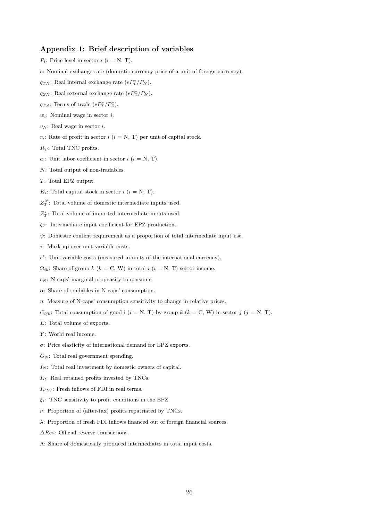#### Appendix 1: Brief description of variables

- $P_i$ : Price level in sector  $i$   $(i = N, T)$ .
- e: Nominal exchange rate (domestic currency price of a unit of foreign currency).
- $q_{TN}$ : Real internal exchange rate  $(eP_T^*/P_N)$ .
- $q_{ZN}$ : Real external exchange rate  $(eP_Z^*/P_N)$ .
- $q_{TZ}$ : Terms of trade  $(eP_T^*/P_Z^*)$ .
- $w_i$ : Nominal wage in sector i.
- $v_N$ : Real wage in sector *i*.
- $r_i$ : Rate of profit in sector  $i$   $(i = N, T)$  per unit of capital stock.
- $R_T$ : Total TNC profits.
- $a_i$ : Unit labor coefficient in sector  $i$  ( $i = N, T$ ).
- N: Total output of non-tradables.
- T: Total EPZ output.
- $K_i$ : Total capital stock in sector  $i$   $(i = N, T)$ .
- $Z_T^N$ : Total volume of domestic intermediate inputs used.
- $Z_T^*$ : Total volume of imported intermediate inputs used.
- $\zeta_T$ : Intermediate input coefficient for EPZ production.
- $\psi$ : Domestic content requirement as a proportion of total intermediate input use.
- $\tau$ : Mark-up over unit variable costs.
- $\epsilon^*$ : Unit variable costs (measured in units of the international currency).
- $\Omega_{ik}$ : Share of group k (k = C, W) in total i (i = N, T) sector income.
- $c_N$ : N-caps' marginal propensity to consume.
- $\alpha$ : Share of tradables in N-caps' consumption.
- η: Measure of N-caps' consumption sensitivity to change in relative prices.
- $C_{ijk}$ : Total consumption of good i  $(i = N, T)$  by group k  $(k = C, W)$  in sector j  $(j = N, T)$ .
- E: Total volume of exports.
- Y: World real income.
- σ: Price elasticity of international demand for EPZ exports.
- $G_N$ : Total real government spending.
- $I_N$ : Total real investment by domestic owners of capital.
- $I_R$ : Real retained profits invested by TNCs.
- $I_{FDI}$ : Fresh inflows of FDI in real terms.
- $\xi_1$ : TNC sensitivity to profit conditions in the EPZ.
- $\nu$ : Proportion of (after-tax) profits repatriated by TNCs.
- λ: Proportion of fresh FDI inflows financed out of foreign financial sources.
- ∆Res: Official reserve transactions.
- Λ: Share of domestically produced intermediates in total input costs.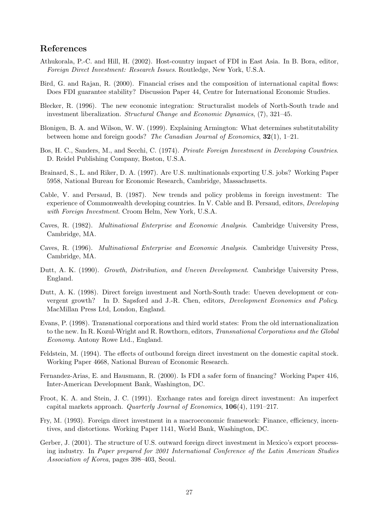#### References

- Athukorala, P.-C. and Hill, H. (2002). Host-country impact of FDI in East Asia. In B. Bora, editor, Foreign Direct Investment: Research Issues. Routledge, New York, U.S.A.
- Bird, G. and Rajan, R. (2000). Financial crises and the composition of international capital flows: Does FDI guarantee stability? Discussion Paper 44, Centre for International Economic Studies.
- Blecker, R. (1996). The new economic integration: Structuralist models of North-South trade and investment liberalization. Structural Change and Economic Dynamics, (7), 321–45.
- Blonigen, B. A. and Wilson, W. W. (1999). Explaining Armington: What determines substitutability between home and foreign goods? The Canadian Journal of Economics,  $32(1)$ , 1–21.
- Bos, H. C., Sanders, M., and Secchi, C. (1974). Private Foreign Investment in Developing Countries. D. Reidel Publishing Company, Boston, U.S.A.
- Brainard, S., L. and Riker, D. A. (1997). Are U.S. multinationals exporting U.S. jobs? Working Paper 5958, National Bureau for Economic Research, Cambridge, Massachusetts.
- Cable, V. and Persaud, B. (1987). New trends and policy problems in foreign investment: The experience of Commonwealth developing countries. In V. Cable and B. Persaud, editors, Developing with Foreign Investment. Croom Helm, New York, U.S.A.
- Caves, R. (1982). Multinational Enterprise and Economic Analysis. Cambridge University Press, Cambridge, MA.
- Caves, R. (1996). Multinational Enterprise and Economic Analysis. Cambridge University Press, Cambridge, MA.
- Dutt, A. K. (1990). Growth, Distribution, and Uneven Development. Cambridge University Press, England.
- Dutt, A. K. (1998). Direct foreign investment and North-South trade: Uneven development or convergent growth? In D. Sapsford and J.-R. Chen, editors, Development Economics and Policy. MacMillan Press Ltd, London, England.
- Evans, P. (1998). Transnational corporations and third world states: From the old internationalization to the new. In R. Kozul-Wright and R. Rowthorn, editors, Transnational Corporations and the Global Economy. Antony Rowe Ltd., England.
- Feldstein, M. (1994). The effects of outbound foreign direct investment on the domestic capital stock. Working Paper 4668, National Bureau of Economic Research.
- Fernandez-Arias, E. and Hausmann, R. (2000). Is FDI a safer form of financing? Working Paper 416, Inter-American Development Bank, Washington, DC.
- Froot, K. A. and Stein, J. C. (1991). Exchange rates and foreign direct investment: An imperfect capital markets approach. Quarterly Journal of Economics,  $106(4)$ , 1191–217.
- Fry, M. (1993). Foreign direct investment in a macroeconomic framework: Finance, efficiency, incentives, and distortions. Working Paper 1141, World Bank, Washington, DC.
- Gerber, J. (2001). The structure of U.S. outward foreign direct investment in Mexico's export processing industry. In Paper prepared for 2001 International Conference of the Latin American Studies Association of Korea, pages 398–403, Seoul.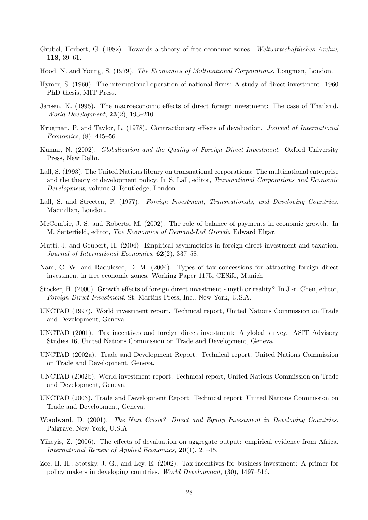- Grubel, Herbert, G. (1982). Towards a theory of free economic zones. Weltwirtschaftliches Archiv, 118, 39–61.
- Hood, N. and Young, S. (1979). The Economics of Multinational Corporations. Longman, London.
- Hymer, S. (1960). The international operation of national firms: A study of direct investment. 1960 PhD thesis, MIT Press.
- Jansen, K. (1995). The macroeconomic effects of direct foreign investment: The case of Thailand. World Development, 23(2), 193–210.
- Krugman, P. and Taylor, L. (1978). Contractionary effects of devaluation. Journal of International Economics, (8), 445–56.
- Kumar, N. (2002). Globalization and the Quality of Foreign Direct Investment. Oxford University Press, New Delhi.
- Lall, S. (1993). The United Nations library on transnational corporations: The multinational enterprise and the theory of development policy. In S. Lall, editor, Transnational Corporations and Economic Development, volume 3. Routledge, London.
- Lall, S. and Streeten, P. (1977). Foreign Investment, Transnationals, and Developing Countries. Macmillan, London.
- McCombie, J. S. and Roberts, M. (2002). The role of balance of payments in economic growth. In M. Setterfield, editor, The Economics of Demand-Led Growth. Edward Elgar.
- Mutti, J. and Grubert, H. (2004). Empirical asymmetries in foreign direct investment and taxation. Journal of International Economics, 62(2), 337–58.
- Nam, C. W. and Radulesco, D. M. (2004). Types of tax concessions for attracting foreign direct investment in free economic zones. Working Paper 1175, CESifo, Munich.
- Stocker, H. (2000). Growth effects of foreign direct investment myth or reality? In J.-r. Chen, editor, Foreign Direct Investment. St. Martins Press, Inc., New York, U.S.A.
- UNCTAD (1997). World investment report. Technical report, United Nations Commission on Trade and Development, Geneva.
- UNCTAD (2001). Tax incentives and foreign direct investment: A global survey. ASIT Advisory Studies 16, United Nations Commission on Trade and Development, Geneva.
- UNCTAD (2002a). Trade and Development Report. Technical report, United Nations Commission on Trade and Development, Geneva.
- UNCTAD (2002b). World investment report. Technical report, United Nations Commission on Trade and Development, Geneva.
- UNCTAD (2003). Trade and Development Report. Technical report, United Nations Commission on Trade and Development, Geneva.
- Woodward, D. (2001). The Next Crisis? Direct and Equity Investment in Developing Countries. Palgrave, New York, U.S.A.
- Yiheyis, Z. (2006). The effects of devaluation on aggregate output: empirical evidence from Africa. International Review of Applied Economics, 20(1), 21–45.
- Zee, H. H., Stotsky, J. G., and Ley, E. (2002). Tax incentives for business investment: A primer for policy makers in developing countries. World Development, (30), 1497–516.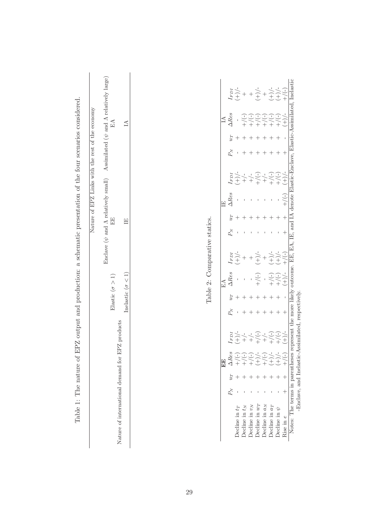|                                                                                                              | Nature of EPZ Links with the rest of the economy | Enclave ( $\psi$ and $\Lambda$ relatively small) Assimilated ( $\psi$ and $\Lambda$ relatively large) | $E\Lambda$                                           | $\triangleq$              |  |
|--------------------------------------------------------------------------------------------------------------|--------------------------------------------------|-------------------------------------------------------------------------------------------------------|------------------------------------------------------|---------------------------|--|
|                                                                                                              |                                                  |                                                                                                       | 田<br>田                                               | Ï                         |  |
|                                                                                                              |                                                  |                                                                                                       | Elastic ( $\sigma > 1$ )                             | Inelastic ( $\sigma$ < 1) |  |
| Table 1: The nature of EPZ output and production: a schematic presentation of the four scenarios considered. |                                                  |                                                                                                       | Z products<br>Nature of international demand for EP. |                           |  |

Table 2: Comparative statics. Table 2: Comparative statics.

|                                 |       |     | $\mathbb{E}$             |                                                                                                                                                                                                                                                                                                                                                                                                                                                                                                                                                  |                 |                                                                                                                                                                                                                                                     |                                                                                                                                                                                                                                                                                                                                                                                                                                                                                                                                                                                                                                                                                                                                                 |  |                            |               |  |                                                                                                                                  |                                                                                                                                                                                                                                                                                                                                                                                                                                                 |
|---------------------------------|-------|-----|--------------------------|--------------------------------------------------------------------------------------------------------------------------------------------------------------------------------------------------------------------------------------------------------------------------------------------------------------------------------------------------------------------------------------------------------------------------------------------------------------------------------------------------------------------------------------------------|-----------------|-----------------------------------------------------------------------------------------------------------------------------------------------------------------------------------------------------------------------------------------------------|-------------------------------------------------------------------------------------------------------------------------------------------------------------------------------------------------------------------------------------------------------------------------------------------------------------------------------------------------------------------------------------------------------------------------------------------------------------------------------------------------------------------------------------------------------------------------------------------------------------------------------------------------------------------------------------------------------------------------------------------------|--|----------------------------|---------------|--|----------------------------------------------------------------------------------------------------------------------------------|-------------------------------------------------------------------------------------------------------------------------------------------------------------------------------------------------------------------------------------------------------------------------------------------------------------------------------------------------------------------------------------------------------------------------------------------------|
|                                 | $P_N$ | IJГ | $\Delta$ Re.             |                                                                                                                                                                                                                                                                                                                                                                                                                                                                                                                                                  |                 | $\Delta Res$                                                                                                                                                                                                                                        |                                                                                                                                                                                                                                                                                                                                                                                                                                                                                                                                                                                                                                                                                                                                                 |  | $\Delta Res$               |               |  | $\Delta Res$                                                                                                                     |                                                                                                                                                                                                                                                                                                                                                                                                                                                 |
| Decline in $t_T$                |       |     |                          |                                                                                                                                                                                                                                                                                                                                                                                                                                                                                                                                                  |                 |                                                                                                                                                                                                                                                     | $\begin{array}{c}\n\stackrel{1}{\longrightarrow} \\ \stackrel{1}{\longrightarrow} \\ \stackrel{1}{\longrightarrow} \\ \stackrel{1}{\longrightarrow} \\ \stackrel{1}{\longrightarrow} \\ \stackrel{1}{\longrightarrow} \\ \stackrel{1}{\longrightarrow} \\ \stackrel{1}{\longrightarrow} \\ \stackrel{1}{\longrightarrow} \\ \stackrel{1}{\longrightarrow} \\ \stackrel{1}{\longrightarrow} \\ \stackrel{1}{\longrightarrow} \\ \stackrel{1}{\longrightarrow} \\ \stackrel{1}{\longrightarrow} \\ \stackrel{1}{\longrightarrow} \\ \stackrel{1}{\longrightarrow} \\ \stackrel{1}{\longrightarrow} \\ \stackrel{1}{\longrightarrow} \\ \stackrel{1}{\longrightarrow} \\ \stackrel{1}{\longrightarrow} \\ \stackrel{1}{\longrightarrow} \\ \stack$ |  |                            |               |  | $\overline{\phantom{a}}$                                                                                                         |                                                                                                                                                                                                                                                                                                                                                                                                                                                 |
| Decline in $t_N$                |       |     |                          |                                                                                                                                                                                                                                                                                                                                                                                                                                                                                                                                                  |                 |                                                                                                                                                                                                                                                     |                                                                                                                                                                                                                                                                                                                                                                                                                                                                                                                                                                                                                                                                                                                                                 |  |                            |               |  |                                                                                                                                  |                                                                                                                                                                                                                                                                                                                                                                                                                                                 |
| Decline in $v_N$                |       |     |                          |                                                                                                                                                                                                                                                                                                                                                                                                                                                                                                                                                  |                 |                                                                                                                                                                                                                                                     |                                                                                                                                                                                                                                                                                                                                                                                                                                                                                                                                                                                                                                                                                                                                                 |  |                            |               |  |                                                                                                                                  |                                                                                                                                                                                                                                                                                                                                                                                                                                                 |
| Decline in $w_T$                |       |     |                          |                                                                                                                                                                                                                                                                                                                                                                                                                                                                                                                                                  |                 | $-$<br>+ $/$ $(-)$                                                                                                                                                                                                                                  |                                                                                                                                                                                                                                                                                                                                                                                                                                                                                                                                                                                                                                                                                                                                                 |  |                            |               |  |                                                                                                                                  |                                                                                                                                                                                                                                                                                                                                                                                                                                                 |
| Decline in $a_N$                |       |     | $+\sqrt{+\frac{1}{2}}$   |                                                                                                                                                                                                                                                                                                                                                                                                                                                                                                                                                  |                 |                                                                                                                                                                                                                                                     | $^{+}$                                                                                                                                                                                                                                                                                                                                                                                                                                                                                                                                                                                                                                                                                                                                          |  |                            |               |  | $(-1)^2$<br>$(-1)^2$<br>$(-1)^2$<br>$(-1)^2$<br>$(-1)^2$<br>$(-1)^2$<br>$(-1)^2$<br>$(-1)^2$<br>$(-1)^2$<br>$(-1)^2$<br>$(-1)^2$ | $\begin{array}{l} \displaystyle \frac{1}{2} \sum_{i=1}^{n} \frac{1}{2} \left( 1 + \frac{1}{2} \right) \left( 1 + \frac{1}{2} \right) \left( 1 + \frac{1}{2} \right) \left( 1 + \frac{1}{2} \right) \left( 1 + \frac{1}{2} \right) \left( 1 + \frac{1}{2} \right) \left( 1 + \frac{1}{2} \right) \left( 1 + \frac{1}{2} \right) \left( 1 + \frac{1}{2} \right) \left( 1 + \frac{1}{2} \right) \left( 1 + \frac{1}{2} \right) \left( 1 + \frac{1$ |
| Decline in aT                   |       |     | $\sum_{i=1}^{n}$         |                                                                                                                                                                                                                                                                                                                                                                                                                                                                                                                                                  |                 |                                                                                                                                                                                                                                                     |                                                                                                                                                                                                                                                                                                                                                                                                                                                                                                                                                                                                                                                                                                                                                 |  |                            |               |  |                                                                                                                                  |                                                                                                                                                                                                                                                                                                                                                                                                                                                 |
| Decline in $\psi$               |       |     | $\widetilde{(+)}$        |                                                                                                                                                                                                                                                                                                                                                                                                                                                                                                                                                  |                 |                                                                                                                                                                                                                                                     |                                                                                                                                                                                                                                                                                                                                                                                                                                                                                                                                                                                                                                                                                                                                                 |  |                            |               |  |                                                                                                                                  |                                                                                                                                                                                                                                                                                                                                                                                                                                                 |
| Rise in e                       |       |     |                          | $\begin{array}{l} I_{F}D_{I}\\ \hline +\end{array} \begin{array}{l} \end{array} \begin{array}{l} \end{array} \begin{array}{l} \end{array} \begin{array}{l} \end{array} \begin{array}{l} \end{array} \begin{array}{l} \end{array} \begin{array}{l} \end{array} \begin{array}{l} \end{array} \begin{array}{l} \end{array} \begin{array}{l} \end{array} \begin{array}{l} \end{array} \begin{array}{l} \end{array} \begin{array}{l} \end{array} \begin{array}{l} \end{array} \begin{array}{l} \end{array} \begin{array}{l} \end{array} \begin{array$ |                 | $\begin{array}{c}\n\begin{array}{c}\n\begin{array}{c}\n\begin{array}{c}\n\end{array}\n\end{array} \\ \begin{array}{c}\n\begin{array}{c}\n\end{array}\n\end{array} \\ +\end{array} \\ \begin{array}{c}\n\end{array} \\ +\end{array} \\ +\end{array}$ |                                                                                                                                                                                                                                                                                                                                                                                                                                                                                                                                                                                                                                                                                                                                                 |  | $\left(-\right)$           |               |  |                                                                                                                                  |                                                                                                                                                                                                                                                                                                                                                                                                                                                 |
| Notes: The terms in parentheses |       |     |                          | resent                                                                                                                                                                                                                                                                                                                                                                                                                                                                                                                                           | the more likely | 11100                                                                                                                                                                                                                                               | EE, EA.                                                                                                                                                                                                                                                                                                                                                                                                                                                                                                                                                                                                                                                                                                                                         |  | IE, and IA denote <b>F</b> | Flastic-Frocl |  | patmilated                                                                                                                       | Inelasti                                                                                                                                                                                                                                                                                                                                                                                                                                        |
|                                 |       |     | -Enclave, and Inelastic- |                                                                                                                                                                                                                                                                                                                                                                                                                                                                                                                                                  |                 |                                                                                                                                                                                                                                                     |                                                                                                                                                                                                                                                                                                                                                                                                                                                                                                                                                                                                                                                                                                                                                 |  |                            |               |  |                                                                                                                                  |                                                                                                                                                                                                                                                                                                                                                                                                                                                 |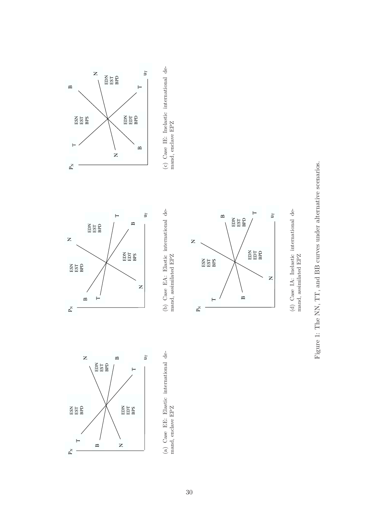

(a) Case EE: Elastic international demand, enclave EPZ (a) Case EE: Elastic international demand, enclave EPZ



(b) Case EA: Elastic international demand, assimilated EPZ (b) Case EA: Elastic international demand, assimilated EPZ

u

 $\vdash$ 

(c) Case IE: Inelastic international de-

 $\left( c\right)$  Case IE: Inelastic international demand, enclave EPZ

mand, enclave EPZ

ED<br>A EST<br>A EST<br>A EST

EDE<br>BEB B T

 $\mathbf{r}$ 

N

 $\mathbf{\Omega}$ 

 $\vec{\mathsf{r}}$ 

 $\vdash$ 

ESH<br>BPS<br>CHEST<br>CHEST



(d) Case IA: Inelastic international de-(d) Case IA: Inelastic international de- $\mod$  , assimilated EPZ mand, assimilated EPZ